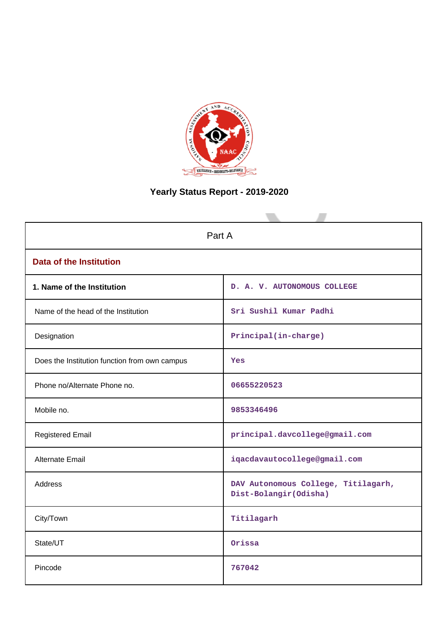

# **Yearly Status Report - 2019-2020**

| Part A                                        |                                                               |  |  |  |  |
|-----------------------------------------------|---------------------------------------------------------------|--|--|--|--|
| <b>Data of the Institution</b>                |                                                               |  |  |  |  |
| 1. Name of the Institution                    | D. A. V. AUTONOMOUS COLLEGE                                   |  |  |  |  |
| Name of the head of the Institution           | Sri Sushil Kumar Padhi                                        |  |  |  |  |
| Designation                                   | Principal(in-charge)                                          |  |  |  |  |
| Does the Institution function from own campus | Yes                                                           |  |  |  |  |
| Phone no/Alternate Phone no.                  | 06655220523                                                   |  |  |  |  |
| Mobile no.                                    | 9853346496                                                    |  |  |  |  |
| <b>Registered Email</b>                       | principal.davcollege@gmail.com                                |  |  |  |  |
| <b>Alternate Email</b>                        | iqacdavautocollege@gmail.com                                  |  |  |  |  |
| Address                                       | DAV Autonomous College, Titilagarh,<br>Dist-Bolangir (Odisha) |  |  |  |  |
| City/Town                                     | Titilagarh                                                    |  |  |  |  |
| State/UT                                      | Orissa                                                        |  |  |  |  |
| Pincode                                       | 767042                                                        |  |  |  |  |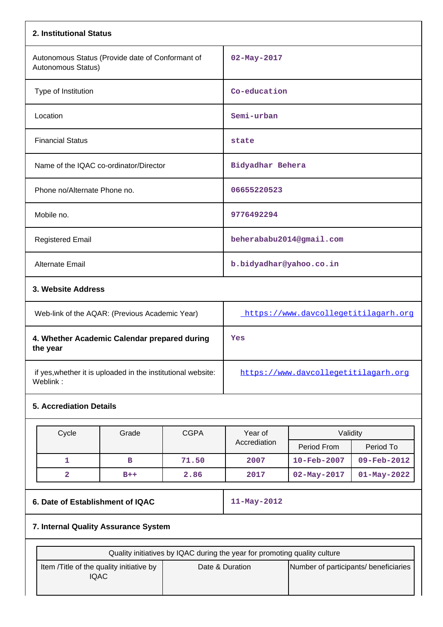| 2. Institutional Status                                                  |                                      |
|--------------------------------------------------------------------------|--------------------------------------|
| Autonomous Status (Provide date of Conformant of<br>Autonomous Status)   | 02-May-2017                          |
| Type of Institution                                                      | Co-education                         |
| Location                                                                 | Semi-urban                           |
| <b>Financial Status</b>                                                  | state                                |
| Name of the IQAC co-ordinator/Director                                   | Bidyadhar Behera                     |
| Phone no/Alternate Phone no.                                             | 06655220523                          |
| Mobile no.                                                               | 9776492294                           |
| <b>Registered Email</b>                                                  | beherababu2014@gmail.com             |
| Alternate Email                                                          | b.bidyadhar@yahoo.co.in              |
| 3. Website Address                                                       |                                      |
| Web-link of the AQAR: (Previous Academic Year)                           | https://www.davcollegetitilagarh.org |
| 4. Whether Academic Calendar prepared during<br>the year                 | Yes                                  |
| if yes, whether it is uploaded in the institutional website:<br>Weblink: | https://www.davcollegetitilagarh.org |
| <b>5. Accrediation Details</b>                                           |                                      |
|                                                                          |                                      |

| Cycle | Grade | <b>CGPA</b> | Year of      | Validity                 |                          |
|-------|-------|-------------|--------------|--------------------------|--------------------------|
|       |       |             | Accrediation | Period From              | Period To                |
|       | в     | 71.50       | 2007         | $10 - \text{Feb} - 2007$ | $09 - \text{Feb} - 2012$ |
|       | $B++$ | 2.86        | 2017         | $02 - May - 2017$        | $01 - May - 2022$        |

## **6. Date of Establishment of IQAC 11-May-2012**

## **7. Internal Quality Assurance System**

| Quality initiatives by IQAC during the year for promoting quality culture |                 |                                       |  |  |  |  |
|---------------------------------------------------------------------------|-----------------|---------------------------------------|--|--|--|--|
| Item /Title of the quality initiative by<br>IQAC                          | Date & Duration | Number of participants/ beneficiaries |  |  |  |  |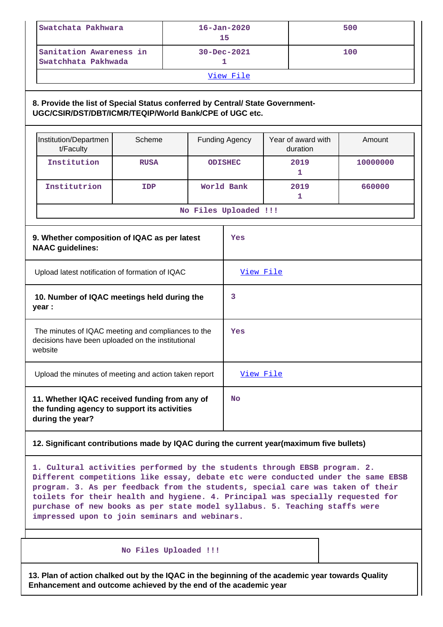| Swatchata Pakhwara<br>$16 - Jan - 2020$<br>15                                                                                           |                                                                                                         |           |                       |                                | 500      |  |
|-----------------------------------------------------------------------------------------------------------------------------------------|---------------------------------------------------------------------------------------------------------|-----------|-----------------------|--------------------------------|----------|--|
| Sanitation Awareness in<br>Swatchhata Pakhwada                                                                                          |                                                                                                         |           | 30-Dec-2021<br>1      |                                | 100      |  |
|                                                                                                                                         |                                                                                                         |           | View File             |                                |          |  |
| 8. Provide the list of Special Status conferred by Central/ State Government-<br>UGC/CSIR/DST/DBT/ICMR/TEQIP/World Bank/CPE of UGC etc. |                                                                                                         |           |                       |                                |          |  |
| Institution/Departmen<br>t/Faculty                                                                                                      | Scheme                                                                                                  |           | <b>Funding Agency</b> | Year of award with<br>duration | Amount   |  |
| Institution                                                                                                                             | <b>RUSA</b>                                                                                             |           | <b>ODISHEC</b>        | 2019<br>1                      | 10000000 |  |
| Institutrion                                                                                                                            | <b>IDP</b>                                                                                              |           | World Bank            | 2019<br>1                      | 660000   |  |
|                                                                                                                                         |                                                                                                         |           | No Files Uploaded !!! |                                |          |  |
| 9. Whether composition of IQAC as per latest<br><b>NAAC</b> guidelines:                                                                 |                                                                                                         |           | Yes                   |                                |          |  |
| Upload latest notification of formation of IQAC                                                                                         |                                                                                                         |           | View File             |                                |          |  |
| year :                                                                                                                                  | 10. Number of IQAC meetings held during the                                                             |           |                       |                                |          |  |
| website                                                                                                                                 | The minutes of IQAC meeting and compliances to the<br>decisions have been uploaded on the institutional |           |                       | Yes                            |          |  |
| Upload the minutes of meeting and action taken report                                                                                   |                                                                                                         |           | View File             |                                |          |  |
| 11. Whether IQAC received funding from any of<br>the funding agency to support its activities<br>during the year?                       |                                                                                                         | <b>No</b> |                       |                                |          |  |

### **12. Significant contributions made by IQAC during the current year(maximum five bullets)**

**1. Cultural activities performed by the students through EBSB program. 2. Different competitions like essay, debate etc were conducted under the same EBSB program. 3. As per feedback from the students, special care was taken of their toilets for their health and hygiene. 4. Principal was specially requested for purchase of new books as per state model syllabus. 5. Teaching staffs were impressed upon to join seminars and webinars.**

#### **No Files Uploaded !!!**

**13. Plan of action chalked out by the IQAC in the beginning of the academic year towards Quality Enhancement and outcome achieved by the end of the academic year**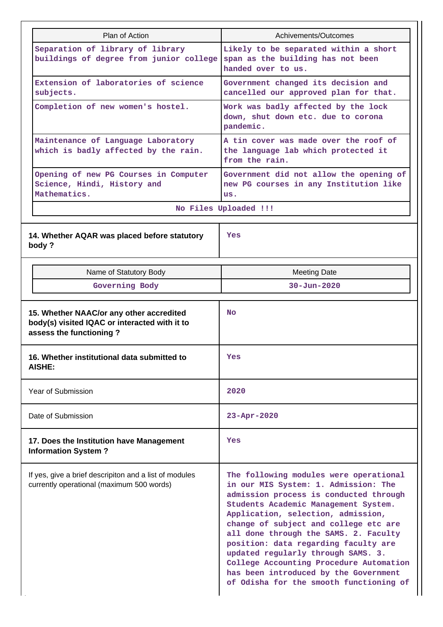| Plan of Action                                                                                                       | Achivements/Outcomes                                                                                                                    |  |  |  |  |
|----------------------------------------------------------------------------------------------------------------------|-----------------------------------------------------------------------------------------------------------------------------------------|--|--|--|--|
| Separation of library of library                                                                                     | Likely to be separated within a short                                                                                                   |  |  |  |  |
| buildings of degree from junior college                                                                              | span as the building has not been<br>handed over to us.<br>Government changed its decision and<br>cancelled our approved plan for that. |  |  |  |  |
| Extension of laboratories of science<br>subjects.                                                                    |                                                                                                                                         |  |  |  |  |
| Completion of new women's hostel.                                                                                    | Work was badly affected by the lock<br>down, shut down etc. due to corona<br>pandemic.                                                  |  |  |  |  |
| Maintenance of Language Laboratory<br>which is badly affected by the rain.                                           | A tin cover was made over the roof of<br>the language lab which protected it<br>from the rain.                                          |  |  |  |  |
| Opening of new PG Courses in Computer<br>Science, Hindi, History and<br>Mathematics.                                 | Government did not allow the opening of<br>new PG courses in any Institution like<br>us.                                                |  |  |  |  |
|                                                                                                                      | No Files Uploaded !!!                                                                                                                   |  |  |  |  |
| 14. Whether AQAR was placed before statutory<br>body?                                                                | Yes                                                                                                                                     |  |  |  |  |
| Name of Statutory Body                                                                                               | <b>Meeting Date</b>                                                                                                                     |  |  |  |  |
|                                                                                                                      |                                                                                                                                         |  |  |  |  |
| Governing Body                                                                                                       | $30 - Jun - 2020$                                                                                                                       |  |  |  |  |
| 15. Whether NAAC/or any other accredited<br>body(s) visited IQAC or interacted with it to<br>assess the functioning? | <b>No</b>                                                                                                                               |  |  |  |  |
| 16. Whether institutional data submitted to<br><b>AISHE:</b>                                                         | Yes                                                                                                                                     |  |  |  |  |
| <b>Year of Submission</b>                                                                                            | 2020                                                                                                                                    |  |  |  |  |
| Date of Submission                                                                                                   | $23 - Apr - 2020$                                                                                                                       |  |  |  |  |
| 17. Does the Institution have Management<br><b>Information System?</b>                                               | Yes                                                                                                                                     |  |  |  |  |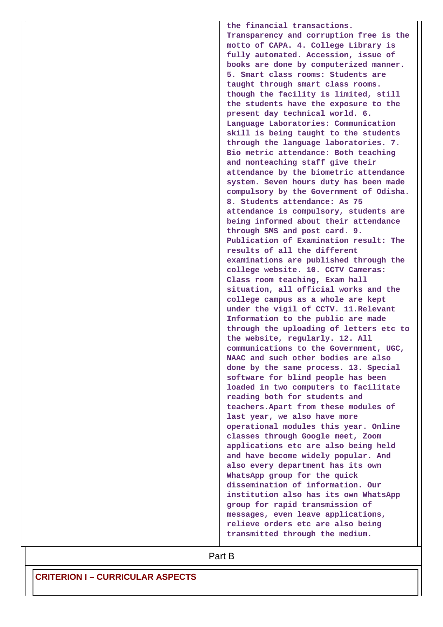**the financial transactions. Transparency and corruption free is the motto of CAPA. 4. College Library is fully automated. Accession, issue of books are done by computerized manner. 5. Smart class rooms: Students are taught through smart class rooms. though the facility is limited, still the students have the exposure to the present day technical world. 6. Language Laboratories: Communication skill is being taught to the students through the language laboratories. 7. Bio metric attendance: Both teaching and nonteaching staff give their attendance by the biometric attendance system. Seven hours duty has been made compulsory by the Government of Odisha. 8. Students attendance: As 75 attendance is compulsory, students are being informed about their attendance through SMS and post card. 9. Publication of Examination result: The results of all the different examinations are published through the college website. 10. CCTV Cameras: Class room teaching, Exam hall situation, all official works and the college campus as a whole are kept under the vigil of CCTV. 11.Relevant Information to the public are made through the uploading of letters etc to the website, regularly. 12. All communications to the Government, UGC, NAAC and such other bodies are also done by the same process. 13. Special software for blind people has been loaded in two computers to facilitate reading both for students and teachers.Apart from these modules of last year, we also have more operational modules this year. Online classes through Google meet, Zoom applications etc are also being held and have become widely popular. And also every department has its own WhatsApp group for the quick dissemination of information. Our institution also has its own WhatsApp group for rapid transmission of messages, even leave applications, relieve orders etc are also being transmitted through the medium.**

**Part B**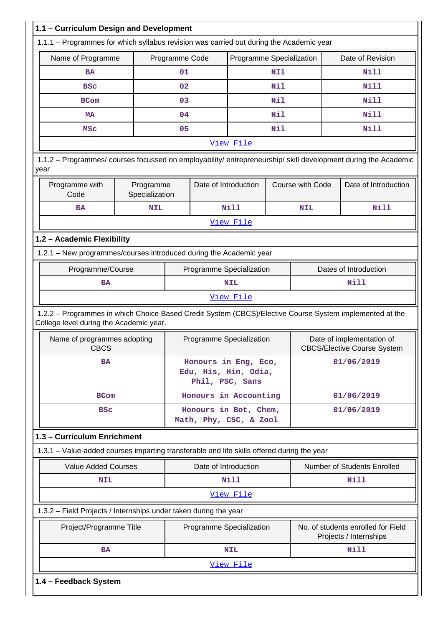| 1.1 - Curriculum Design and Development                                                                                                            |            |                                                                 |                      |                          |            |                                                                 |                             |
|----------------------------------------------------------------------------------------------------------------------------------------------------|------------|-----------------------------------------------------------------|----------------------|--------------------------|------------|-----------------------------------------------------------------|-----------------------------|
| 1.1.1 - Programmes for which syllabus revision was carried out during the Academic year                                                            |            |                                                                 |                      |                          |            |                                                                 |                             |
| Name of Programme                                                                                                                                  |            | Programme Code                                                  |                      | Programme Specialization |            |                                                                 | Date of Revision            |
| BA                                                                                                                                                 |            |                                                                 | 01                   |                          | NI1        |                                                                 | Nill                        |
| <b>BSC</b>                                                                                                                                         |            | 02                                                              |                      |                          | Nil        |                                                                 | Nill                        |
| <b>BCom</b>                                                                                                                                        |            | 03                                                              |                      |                          | Nil        |                                                                 | Nill                        |
| MA                                                                                                                                                 |            | 04                                                              |                      |                          | Nil        |                                                                 | Nill                        |
| <b>MSC</b>                                                                                                                                         |            |                                                                 | 05                   |                          | <b>Nil</b> |                                                                 | Nill                        |
|                                                                                                                                                    |            |                                                                 |                      | View File                |            |                                                                 |                             |
| 1.1.2 - Programmes/ courses focussed on employability/ entrepreneurship/ skill development during the Academic<br>year                             |            |                                                                 |                      |                          |            |                                                                 |                             |
| Programme with<br>Programme<br>Code<br>Specialization                                                                                              |            |                                                                 | Date of Introduction |                          |            | Course with Code                                                | Date of Introduction        |
| <b>BA</b>                                                                                                                                          | <b>NIL</b> |                                                                 |                      | Nill                     |            | <b>NIL</b>                                                      | <b>Nill</b>                 |
|                                                                                                                                                    |            |                                                                 |                      | View File                |            |                                                                 |                             |
| 1.2 - Academic Flexibility                                                                                                                         |            |                                                                 |                      |                          |            |                                                                 |                             |
| 1.2.1 - New programmes/courses introduced during the Academic year                                                                                 |            |                                                                 |                      |                          |            |                                                                 |                             |
| Programme/Course                                                                                                                                   |            |                                                                 |                      | Programme Specialization |            |                                                                 | Dates of Introduction       |
| BA                                                                                                                                                 |            |                                                                 | <b>NIL</b>           |                          |            | Nill                                                            |                             |
|                                                                                                                                                    |            | View File                                                       |                      |                          |            |                                                                 |                             |
| 1.2.2 - Programmes in which Choice Based Credit System (CBCS)/Elective Course System implemented at the<br>College level during the Academic year. |            |                                                                 |                      |                          |            |                                                                 |                             |
| Name of programmes adopting<br><b>CBCS</b>                                                                                                         |            | Programme Specialization                                        |                      |                          |            | Date of implementation of<br><b>CBCS/Elective Course System</b> |                             |
| <b>BA</b>                                                                                                                                          |            | Honours in Eng, Eco,<br>Edu, His, Hin, Odia,<br>Phil, PSC, Sans |                      | 01/06/2019               |            |                                                                 |                             |
| <b>BCom</b>                                                                                                                                        |            | Honours in Accounting                                           |                      |                          |            | 01/06/2019                                                      |                             |
| <b>BSC</b>                                                                                                                                         |            | Honours in Bot, Chem,<br>Math, Phy, CSC, & Zool                 |                      |                          |            | 01/06/2019                                                      |                             |
| 1.3 - Curriculum Enrichment                                                                                                                        |            |                                                                 |                      |                          |            |                                                                 |                             |
| 1.3.1 – Value-added courses imparting transferable and life skills offered during the year                                                         |            |                                                                 |                      |                          |            |                                                                 |                             |
| <b>Value Added Courses</b>                                                                                                                         |            |                                                                 | Date of Introduction |                          |            |                                                                 | Number of Students Enrolled |
| <b>NIL</b>                                                                                                                                         |            |                                                                 |                      | Nill                     |            |                                                                 | Nill                        |
|                                                                                                                                                    |            |                                                                 |                      | View File                |            |                                                                 |                             |
| 1.3.2 - Field Projects / Internships under taken during the year                                                                                   |            |                                                                 |                      |                          |            |                                                                 |                             |
| Project/Programme Title                                                                                                                            |            | Programme Specialization                                        |                      |                          |            | No. of students enrolled for Field<br>Projects / Internships    |                             |
| ΒA                                                                                                                                                 |            |                                                                 |                      | <b>NIL</b>               |            |                                                                 | Nill                        |
|                                                                                                                                                    |            |                                                                 |                      | View File                |            |                                                                 |                             |
| 1.4 - Feedback System                                                                                                                              |            |                                                                 |                      |                          |            |                                                                 |                             |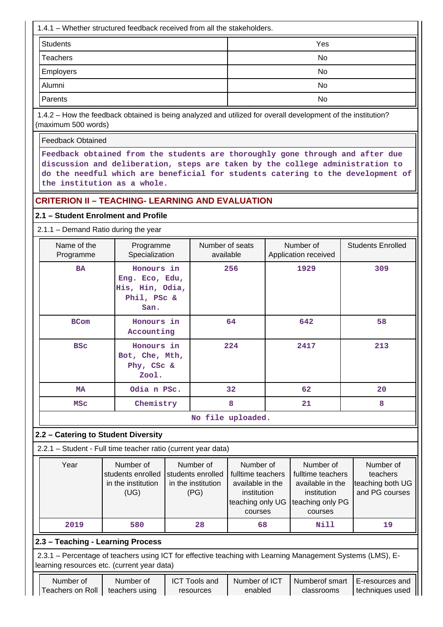| 1.4.1 – Whether structured feedback received from all the stakeholders. |     |  |  |  |  |
|-------------------------------------------------------------------------|-----|--|--|--|--|
| <b>Students</b>                                                         | Yes |  |  |  |  |
| <b>Teachers</b>                                                         | No. |  |  |  |  |
| Employers                                                               | No  |  |  |  |  |
| Alumni                                                                  | No  |  |  |  |  |
| Parents                                                                 | No  |  |  |  |  |

 1.4.2 – How the feedback obtained is being analyzed and utilized for overall development of the institution? (maximum 500 words)

Feedback Obtained

**Feedback obtained from the students are thoroughly gone through and after due discussion and deliberation, steps are taken by the college administration to do the needful which are beneficial for students catering to the development of the institution as a whole.**

## **CRITERION II – TEACHING- LEARNING AND EVALUATION**

### **2.1 – Student Enrolment and Profile**

2.1.1 – Demand Ratio during the year

| Name of the<br>Programme | Programme<br>Specialization                                            | Number of seats<br>available | Number of<br>Application received | <b>Students Enrolled</b> |  |  |  |
|--------------------------|------------------------------------------------------------------------|------------------------------|-----------------------------------|--------------------------|--|--|--|
| <b>BA</b>                | Honours in<br>Eng. Eco, Edu,<br>His, Hin, Odia,<br>Phil, PSC &<br>San. | 256                          | 1929                              | 309                      |  |  |  |
| <b>BCom</b>              | Honours in<br>Accounting                                               | 64                           | 642                               | 58                       |  |  |  |
| <b>BSC</b>               | Honours in<br>Bot, Che, Mth,<br>Phy, CSc &<br>Zool.                    | 224                          | 2417                              | 213                      |  |  |  |
| <b>MA</b>                | Odia n PSc.                                                            | 32                           | 62                                | 20                       |  |  |  |
| <b>MSC</b>               | Chemistry                                                              | 8                            | 21                                | 8                        |  |  |  |
| No file uploaded.        |                                                                        |                              |                                   |                          |  |  |  |

### **2.2 – Catering to Student Diversity**

2.2.1 – Student - Full time teacher ratio (current year data)

| Year                                        | Number of<br>students enrolled<br>in the institution<br>(UG) | Number of<br>students enrolled<br>in the institution<br>(PG) | Number of<br>fulltime teachers<br>available in the<br>institution<br>teaching only UG<br>courses | Number of<br>fulltime teachers<br>available in the<br>institution<br>teaching only PG<br>courses | Number of<br>teachers<br>teaching both UG<br>and PG courses |
|---------------------------------------------|--------------------------------------------------------------|--------------------------------------------------------------|--------------------------------------------------------------------------------------------------|--------------------------------------------------------------------------------------------------|-------------------------------------------------------------|
| 2019<br>l 2 2 - Toaching - Loarning Procoss | 580                                                          | 28                                                           | 68                                                                                               | Nill                                                                                             | 19                                                          |

### **2.3 – Teaching - Learning Process**

 2.3.1 – Percentage of teachers using ICT for effective teaching with Learning Management Systems (LMS), Elearning resources etc. (current year data)

| Number of          | Number of      | <b>ICT Tools and</b> | Number of ICT | Numberof smart | ⊥E-resources and |
|--------------------|----------------|----------------------|---------------|----------------|------------------|
| Teachers on Roll ∖ | teachers using | resources            | enabled       | classrooms     | techniques used  |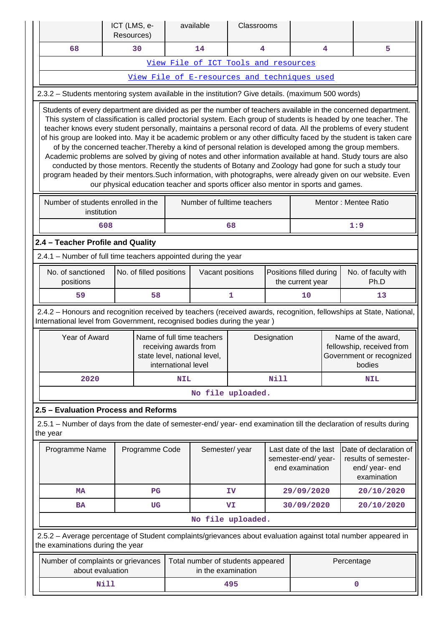|                                                                                                                                                                                                                                                                                                                                                                                                                                                                                                                                                                                                                                                                                                                                                                                                                                                                                                                                                                                                                      | ICT (LMS, e-<br>Resources) |                         |                                                                                                            | available                                               | Classrooms              |             |                                                                |            |                                                                                       |
|----------------------------------------------------------------------------------------------------------------------------------------------------------------------------------------------------------------------------------------------------------------------------------------------------------------------------------------------------------------------------------------------------------------------------------------------------------------------------------------------------------------------------------------------------------------------------------------------------------------------------------------------------------------------------------------------------------------------------------------------------------------------------------------------------------------------------------------------------------------------------------------------------------------------------------------------------------------------------------------------------------------------|----------------------------|-------------------------|------------------------------------------------------------------------------------------------------------|---------------------------------------------------------|-------------------------|-------------|----------------------------------------------------------------|------------|---------------------------------------------------------------------------------------|
| 68                                                                                                                                                                                                                                                                                                                                                                                                                                                                                                                                                                                                                                                                                                                                                                                                                                                                                                                                                                                                                   |                            | 30                      |                                                                                                            | 14                                                      | $\overline{\mathbf{4}}$ |             |                                                                | 4          | 5                                                                                     |
|                                                                                                                                                                                                                                                                                                                                                                                                                                                                                                                                                                                                                                                                                                                                                                                                                                                                                                                                                                                                                      |                            |                         |                                                                                                            | View File of ICT Tools and resources                    |                         |             |                                                                |            |                                                                                       |
|                                                                                                                                                                                                                                                                                                                                                                                                                                                                                                                                                                                                                                                                                                                                                                                                                                                                                                                                                                                                                      |                            |                         |                                                                                                            | View File of E-resources and techniques used            |                         |             |                                                                |            |                                                                                       |
| 2.3.2 - Students mentoring system available in the institution? Give details. (maximum 500 words)                                                                                                                                                                                                                                                                                                                                                                                                                                                                                                                                                                                                                                                                                                                                                                                                                                                                                                                    |                            |                         |                                                                                                            |                                                         |                         |             |                                                                |            |                                                                                       |
| Students of every department are divided as per the number of teachers available in the concerned department.<br>This system of classification is called proctorial system. Each group of students is headed by one teacher. The<br>teacher knows every student personally, maintains a personal record of data. All the problems of every student<br>of his group are looked into. May it be academic problem or any other difficulty faced by the student is taken care<br>of by the concerned teacher. Thereby a kind of personal relation is developed among the group members.<br>Academic problems are solved by giving of notes and other information available at hand. Study tours are also<br>conducted by those mentors. Recently the students of Botany and Zoology had gone for such a study tour<br>program headed by their mentors. Such information, with photographs, were already given on our website. Even<br>our physical education teacher and sports officer also mentor in sports and games. |                            |                         |                                                                                                            |                                                         |                         |             |                                                                |            |                                                                                       |
| Number of students enrolled in the<br>institution                                                                                                                                                                                                                                                                                                                                                                                                                                                                                                                                                                                                                                                                                                                                                                                                                                                                                                                                                                    |                            |                         |                                                                                                            | Number of fulltime teachers                             |                         |             |                                                                |            | Mentor: Mentee Ratio                                                                  |
| 608                                                                                                                                                                                                                                                                                                                                                                                                                                                                                                                                                                                                                                                                                                                                                                                                                                                                                                                                                                                                                  |                            |                         |                                                                                                            |                                                         | 68                      |             |                                                                |            | 1:9                                                                                   |
| 2.4 - Teacher Profile and Quality                                                                                                                                                                                                                                                                                                                                                                                                                                                                                                                                                                                                                                                                                                                                                                                                                                                                                                                                                                                    |                            |                         |                                                                                                            |                                                         |                         |             |                                                                |            |                                                                                       |
| 2.4.1 - Number of full time teachers appointed during the year                                                                                                                                                                                                                                                                                                                                                                                                                                                                                                                                                                                                                                                                                                                                                                                                                                                                                                                                                       |                            |                         |                                                                                                            |                                                         |                         |             |                                                                |            |                                                                                       |
| No. of sanctioned<br>positions                                                                                                                                                                                                                                                                                                                                                                                                                                                                                                                                                                                                                                                                                                                                                                                                                                                                                                                                                                                       |                            | No. of filled positions |                                                                                                            | Vacant positions                                        |                         |             | Positions filled during<br>the current year                    |            | No. of faculty with<br>Ph.D                                                           |
| 59                                                                                                                                                                                                                                                                                                                                                                                                                                                                                                                                                                                                                                                                                                                                                                                                                                                                                                                                                                                                                   |                            | 58                      |                                                                                                            | $\mathbf{1}$                                            |                         | 10          | 13                                                             |            |                                                                                       |
| 2.4.2 - Honours and recognition received by teachers (received awards, recognition, fellowships at State, National,<br>International level from Government, recognised bodies during the year)                                                                                                                                                                                                                                                                                                                                                                                                                                                                                                                                                                                                                                                                                                                                                                                                                       |                            |                         |                                                                                                            |                                                         |                         |             |                                                                |            |                                                                                       |
| Year of Award                                                                                                                                                                                                                                                                                                                                                                                                                                                                                                                                                                                                                                                                                                                                                                                                                                                                                                                                                                                                        |                            |                         | Name of full time teachers<br>receiving awards from<br>state level, national level,<br>international level |                                                         |                         | Designation |                                                                |            | Name of the award,<br>fellowship, received from<br>Government or recognized<br>bodies |
| 2020                                                                                                                                                                                                                                                                                                                                                                                                                                                                                                                                                                                                                                                                                                                                                                                                                                                                                                                                                                                                                 |                            |                         |                                                                                                            | Nill<br><b>NIL</b>                                      |                         |             |                                                                | <b>NIL</b> |                                                                                       |
|                                                                                                                                                                                                                                                                                                                                                                                                                                                                                                                                                                                                                                                                                                                                                                                                                                                                                                                                                                                                                      |                            |                         |                                                                                                            | No file uploaded.                                       |                         |             |                                                                |            |                                                                                       |
| 2.5 - Evaluation Process and Reforms                                                                                                                                                                                                                                                                                                                                                                                                                                                                                                                                                                                                                                                                                                                                                                                                                                                                                                                                                                                 |                            |                         |                                                                                                            |                                                         |                         |             |                                                                |            |                                                                                       |
| 2.5.1 – Number of days from the date of semester-end/ year- end examination till the declaration of results during<br>the year                                                                                                                                                                                                                                                                                                                                                                                                                                                                                                                                                                                                                                                                                                                                                                                                                                                                                       |                            |                         |                                                                                                            |                                                         |                         |             |                                                                |            |                                                                                       |
|                                                                                                                                                                                                                                                                                                                                                                                                                                                                                                                                                                                                                                                                                                                                                                                                                                                                                                                                                                                                                      |                            |                         |                                                                                                            |                                                         |                         |             |                                                                |            |                                                                                       |
| Programme Name                                                                                                                                                                                                                                                                                                                                                                                                                                                                                                                                                                                                                                                                                                                                                                                                                                                                                                                                                                                                       |                            | Programme Code          |                                                                                                            | Semester/year                                           |                         |             | Last date of the last<br>semester-end/year-<br>end examination |            | Date of declaration of<br>results of semester-<br>end/ year- end<br>examination       |
| <b>MA</b>                                                                                                                                                                                                                                                                                                                                                                                                                                                                                                                                                                                                                                                                                                                                                                                                                                                                                                                                                                                                            |                            | $_{\rm PG}$             |                                                                                                            |                                                         | ΙV                      |             | 29/09/2020                                                     |            | 20/10/2020                                                                            |
| <b>BA</b>                                                                                                                                                                                                                                                                                                                                                                                                                                                                                                                                                                                                                                                                                                                                                                                                                                                                                                                                                                                                            |                            | <b>UG</b>               |                                                                                                            |                                                         | VI                      |             | 30/09/2020                                                     |            | 20/10/2020                                                                            |
|                                                                                                                                                                                                                                                                                                                                                                                                                                                                                                                                                                                                                                                                                                                                                                                                                                                                                                                                                                                                                      |                            |                         |                                                                                                            | No file uploaded.                                       |                         |             |                                                                |            |                                                                                       |
| 2.5.2 - Average percentage of Student complaints/grievances about evaluation against total number appeared in<br>the examinations during the year                                                                                                                                                                                                                                                                                                                                                                                                                                                                                                                                                                                                                                                                                                                                                                                                                                                                    |                            |                         |                                                                                                            |                                                         |                         |             |                                                                |            |                                                                                       |
| Number of complaints or grievances<br>about evaluation                                                                                                                                                                                                                                                                                                                                                                                                                                                                                                                                                                                                                                                                                                                                                                                                                                                                                                                                                               |                            |                         |                                                                                                            | Total number of students appeared<br>in the examination |                         |             |                                                                |            | Percentage                                                                            |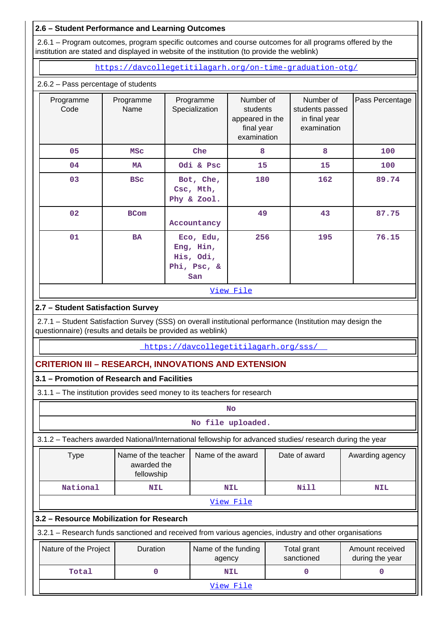### **2.6 – Student Performance and Learning Outcomes**

 2.6.1 – Program outcomes, program specific outcomes and course outcomes for all programs offered by the institution are stated and displayed in website of the institution (to provide the weblink)

<https://davcollegetitilagarh.org/on-time-graduation-otg/>

### 2.6.2 – Pass percentage of students

| Programme<br>Code | Programme<br>Name | Programme<br>Specialization                               | Number of<br>students<br>appeared in the<br>final year<br>examination | Number of<br>students passed<br>in final year<br>examination | Pass Percentage |
|-------------------|-------------------|-----------------------------------------------------------|-----------------------------------------------------------------------|--------------------------------------------------------------|-----------------|
| 05                | <b>MSC</b>        | Che                                                       | 8                                                                     | 8                                                            | 100             |
| 04                | МA                | Odi & Psc                                                 | 15                                                                    | 15                                                           | 100             |
| 03                | <b>BSC</b>        | Bot, Che,<br>Csc, Mth,<br>Phy & Zool.                     | 180                                                                   | 162                                                          | 89.74           |
| 02                | <b>BCom</b>       | Accountancy                                               | 49                                                                    | 43                                                           | 87.75           |
| 01                | <b>BA</b>         | Eco, Edu,<br>Eng, Hin,<br>His, Odi,<br>Phi, Psc, &<br>San | 256                                                                   | 195                                                          | 76.15           |
|                   |                   |                                                           | View File                                                             |                                                              |                 |

### **2.7 – Student Satisfaction Survey**

 2.7.1 – Student Satisfaction Survey (SSS) on overall institutional performance (Institution may design the questionnaire) (results and details be provided as weblink)

<https://davcollegetitilagarh.org/sss/>

## **CRITERION III – RESEARCH, INNOVATIONS AND EXTENSION**

### **3.1 – Promotion of Research and Facilities**

3.1.1 – The institution provides seed money to its teachers for research

| No                                                                                                        |                                                                                                        |                               |                           |                                    |  |  |  |  |  |
|-----------------------------------------------------------------------------------------------------------|--------------------------------------------------------------------------------------------------------|-------------------------------|---------------------------|------------------------------------|--|--|--|--|--|
| No file uploaded.                                                                                         |                                                                                                        |                               |                           |                                    |  |  |  |  |  |
| 3.1.2 – Teachers awarded National/International fellowship for advanced studies/ research during the year |                                                                                                        |                               |                           |                                    |  |  |  |  |  |
| <b>Type</b>                                                                                               | Name of the teacher<br>awarded the<br>fellowship                                                       | Name of the award             | Date of award             | Awarding agency                    |  |  |  |  |  |
| National                                                                                                  | <b>NIL</b>                                                                                             |                               | Nill                      | <b>NIL</b>                         |  |  |  |  |  |
| <u>View File</u>                                                                                          |                                                                                                        |                               |                           |                                    |  |  |  |  |  |
|                                                                                                           | 3.2 – Resource Mobilization for Research                                                               |                               |                           |                                    |  |  |  |  |  |
|                                                                                                           | 3.2.1 – Research funds sanctioned and received from various agencies, industry and other organisations |                               |                           |                                    |  |  |  |  |  |
| Nature of the Project                                                                                     | Duration                                                                                               | Name of the funding<br>agency | Total grant<br>sanctioned | Amount received<br>during the year |  |  |  |  |  |
| Total                                                                                                     | $\Omega$                                                                                               | <b>NIL</b>                    | O                         | 0                                  |  |  |  |  |  |
|                                                                                                           |                                                                                                        | View File                     |                           |                                    |  |  |  |  |  |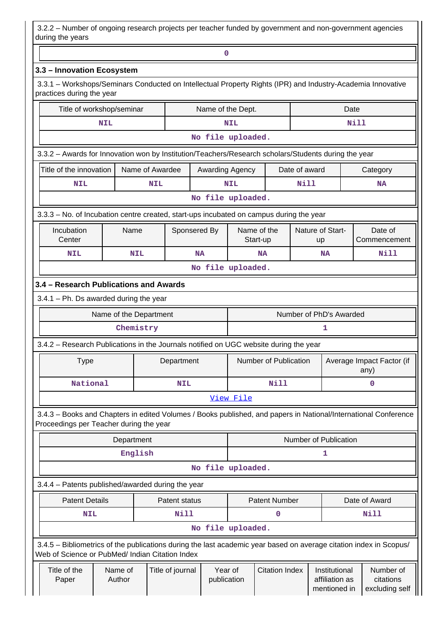3.2.2 – Number of ongoing research projects per teacher funded by government and non-government agencies during the years

## **3.3 – Innovation Ecosystem**

**0**

 3.3.1 – Workshops/Seminars Conducted on Intellectual Property Rights (IPR) and Industry-Academia Innovative practices during the year

|                        | Title of workshop/seminar                                                                                                                                             |                   |                 |                  | Name of the Dept.      |                         |                         |               |                                                 | Date        |                                          |
|------------------------|-----------------------------------------------------------------------------------------------------------------------------------------------------------------------|-------------------|-----------------|------------------|------------------------|-------------------------|-------------------------|---------------|-------------------------------------------------|-------------|------------------------------------------|
|                        |                                                                                                                                                                       | <b>NIL</b>        |                 |                  |                        | <b>NIL</b>              |                         |               |                                                 | <b>Nill</b> |                                          |
|                        |                                                                                                                                                                       |                   |                 |                  | No file uploaded.      |                         |                         |               |                                                 |             |                                          |
|                        | 3.3.2 - Awards for Innovation won by Institution/Teachers/Research scholars/Students during the year                                                                  |                   |                 |                  |                        |                         |                         |               |                                                 |             |                                          |
|                        | Title of the innovation                                                                                                                                               |                   | Name of Awardee |                  | Awarding Agency        |                         |                         | Date of award |                                                 |             | Category                                 |
|                        | Nill<br><b>NIL</b><br><b>NIL</b><br><b>NIL</b><br><b>NA</b>                                                                                                           |                   |                 |                  |                        |                         |                         |               |                                                 |             |                                          |
|                        |                                                                                                                                                                       |                   |                 |                  | No file uploaded.      |                         |                         |               |                                                 |             |                                          |
|                        | 3.3.3 - No. of Incubation centre created, start-ups incubated on campus during the year                                                                               |                   |                 |                  |                        |                         |                         |               |                                                 |             |                                          |
|                        | Incubation<br>Center                                                                                                                                                  | Name              |                 | Sponsered By     |                        |                         | Name of the<br>Start-up |               | Nature of Start-<br>up                          |             | Date of<br>Commencement                  |
|                        | <b>NIL</b>                                                                                                                                                            |                   | <b>NIL</b>      |                  | <b>NA</b>              |                         | <b>NA</b>               |               | <b>NA</b>                                       |             | Nill                                     |
|                        |                                                                                                                                                                       |                   |                 |                  | No file uploaded.      |                         |                         |               |                                                 |             |                                          |
|                        | 3.4 - Research Publications and Awards                                                                                                                                |                   |                 |                  |                        |                         |                         |               |                                                 |             |                                          |
|                        | $3.4.1$ – Ph. Ds awarded during the year                                                                                                                              |                   |                 |                  |                        |                         |                         |               |                                                 |             |                                          |
| Name of the Department |                                                                                                                                                                       |                   |                 |                  |                        | Number of PhD's Awarded |                         |               |                                                 |             |                                          |
|                        |                                                                                                                                                                       |                   | Chemistry       |                  |                        |                         |                         |               | 1                                               |             |                                          |
|                        | 3.4.2 - Research Publications in the Journals notified on UGC website during the year                                                                                 |                   |                 |                  |                        |                         |                         |               |                                                 |             |                                          |
|                        | <b>Type</b>                                                                                                                                                           |                   |                 | Department       |                        | Number of Publication   |                         |               | Average Impact Factor (if<br>any)               |             |                                          |
|                        | National                                                                                                                                                              |                   |                 | <b>NIL</b>       |                        | Nill                    |                         |               |                                                 | 0           |                                          |
|                        |                                                                                                                                                                       |                   |                 |                  |                        | View File               |                         |               |                                                 |             |                                          |
|                        | 3.4.3 - Books and Chapters in edited Volumes / Books published, and papers in National/International Conference<br>Proceedings per Teacher during the year            |                   |                 |                  |                        |                         |                         |               |                                                 |             |                                          |
|                        |                                                                                                                                                                       | Department        |                 |                  |                        | Number of Publication   |                         |               |                                                 |             |                                          |
|                        |                                                                                                                                                                       |                   | English         |                  |                        |                         |                         |               | 1                                               |             |                                          |
|                        |                                                                                                                                                                       |                   |                 |                  | No file uploaded.      |                         |                         |               |                                                 |             |                                          |
|                        | 3.4.4 - Patents published/awarded during the year                                                                                                                     |                   |                 |                  |                        |                         |                         |               |                                                 |             |                                          |
|                        | <b>Patent Details</b>                                                                                                                                                 |                   |                 | Patent status    |                        |                         | <b>Patent Number</b>    |               |                                                 |             | Date of Award                            |
|                        | <b>NIL</b>                                                                                                                                                            |                   |                 | Nill             |                        |                         | 0                       |               |                                                 |             | Nill                                     |
|                        |                                                                                                                                                                       |                   |                 |                  | No file uploaded.      |                         |                         |               |                                                 |             |                                          |
|                        | 3.4.5 - Bibliometrics of the publications during the last academic year based on average citation index in Scopus/<br>Web of Science or PubMed/ Indian Citation Index |                   |                 |                  |                        |                         |                         |               |                                                 |             |                                          |
|                        | Title of the<br>Paper                                                                                                                                                 | Name of<br>Author |                 | Title of journal | Year of<br>publication |                         | <b>Citation Index</b>   |               | Institutional<br>affiliation as<br>mentioned in |             | Number of<br>citations<br>excluding self |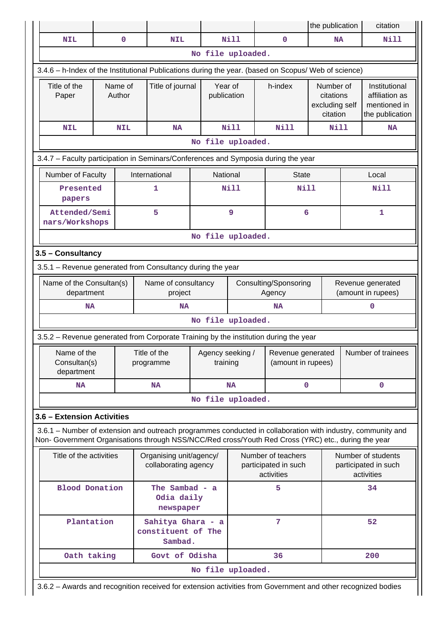|                                                                                                                                                                                                                                                                |                   |                                                    |                              |                        |                                                          | the publication                                      |                          | citation                                                           |
|----------------------------------------------------------------------------------------------------------------------------------------------------------------------------------------------------------------------------------------------------------------|-------------------|----------------------------------------------------|------------------------------|------------------------|----------------------------------------------------------|------------------------------------------------------|--------------------------|--------------------------------------------------------------------|
| <b>NIL</b>                                                                                                                                                                                                                                                     | $\mathbf 0$       | <b>NIL</b>                                         |                              | <b>Nill</b>            | $\mathbf{O}$                                             | <b>NA</b>                                            |                          | <b>Nill</b>                                                        |
|                                                                                                                                                                                                                                                                |                   |                                                    | No file uploaded.            |                        |                                                          |                                                      |                          |                                                                    |
| 3.4.6 - h-Index of the Institutional Publications during the year. (based on Scopus/ Web of science)                                                                                                                                                           |                   |                                                    |                              |                        |                                                          |                                                      |                          |                                                                    |
| Title of the<br>Paper                                                                                                                                                                                                                                          | Name of<br>Author | Title of journal                                   |                              | Year of<br>publication | h-index                                                  | Number of<br>citations<br>excluding self<br>citation |                          | Institutional<br>affiliation as<br>mentioned in<br>the publication |
| <b>NIL</b>                                                                                                                                                                                                                                                     | <b>NIL</b>        | <b>NA</b>                                          |                              | <b>Nill</b>            | <b>Nill</b>                                              |                                                      | <b>Nill</b><br><b>NA</b> |                                                                    |
|                                                                                                                                                                                                                                                                |                   |                                                    | No file uploaded.            |                        |                                                          |                                                      |                          |                                                                    |
| 3.4.7 - Faculty participation in Seminars/Conferences and Symposia during the year                                                                                                                                                                             |                   |                                                    |                              |                        |                                                          |                                                      |                          |                                                                    |
| Number of Faculty                                                                                                                                                                                                                                              |                   | International                                      |                              | National               | <b>State</b>                                             |                                                      |                          | Local                                                              |
| Presented<br>papers                                                                                                                                                                                                                                            |                   | 1                                                  |                              | <b>Nill</b>            | <b>Nill</b>                                              |                                                      |                          | <b>Nill</b>                                                        |
| Attended/Semi<br>nars/Workshops                                                                                                                                                                                                                                |                   | 5                                                  |                              | 9                      | 6                                                        |                                                      |                          | 1                                                                  |
|                                                                                                                                                                                                                                                                |                   |                                                    | No file uploaded.            |                        |                                                          |                                                      |                          |                                                                    |
| 3.5 - Consultancy                                                                                                                                                                                                                                              |                   |                                                    |                              |                        |                                                          |                                                      |                          |                                                                    |
| 3.5.1 - Revenue generated from Consultancy during the year                                                                                                                                                                                                     |                   |                                                    |                              |                        |                                                          |                                                      |                          |                                                                    |
| Name of the Consultan(s)<br>Name of consultancy<br>Consulting/Sponsoring<br>Revenue generated<br>(amount in rupees)<br>department<br>project<br>Agency                                                                                                         |                   |                                                    |                              |                        |                                                          |                                                      |                          |                                                                    |
| 0<br><b>NA</b><br><b>NA</b><br><b>NA</b>                                                                                                                                                                                                                       |                   |                                                    |                              |                        |                                                          |                                                      |                          |                                                                    |
|                                                                                                                                                                                                                                                                |                   |                                                    | No file uploaded.            |                        |                                                          |                                                      |                          |                                                                    |
| 3.5.2 – Revenue generated from Corporate Training by the institution during the year                                                                                                                                                                           |                   |                                                    |                              |                        |                                                          |                                                      |                          |                                                                    |
| Name of the<br>Title of the<br>Consultan(s)<br>programme                                                                                                                                                                                                       |                   |                                                    | Agency seeking /<br>training |                        |                                                          | Revenue generated<br>(amount in rupees)              |                          |                                                                    |
| department                                                                                                                                                                                                                                                     |                   |                                                    |                              |                        |                                                          |                                                      |                          |                                                                    |
| <b>NA</b>                                                                                                                                                                                                                                                      |                   | <b>NA</b>                                          |                              | <b>NA</b>              | $\mathbf{0}$                                             |                                                      |                          | 0                                                                  |
|                                                                                                                                                                                                                                                                |                   |                                                    | No file uploaded.            |                        |                                                          |                                                      |                          |                                                                    |
|                                                                                                                                                                                                                                                                |                   |                                                    |                              |                        |                                                          |                                                      |                          |                                                                    |
|                                                                                                                                                                                                                                                                |                   |                                                    |                              |                        |                                                          |                                                      |                          |                                                                    |
| Title of the activities                                                                                                                                                                                                                                        |                   | Organising unit/agency/<br>collaborating agency    |                              |                        | Number of teachers<br>participated in such<br>activities |                                                      |                          | Number of students<br>participated in such<br>activities           |
| <b>Blood Donation</b>                                                                                                                                                                                                                                          |                   | Odia daily<br>newspaper                            | The Sambad $-$ a             |                        | 5.                                                       |                                                      |                          | 34                                                                 |
| 3.6 - Extension Activities<br>3.6.1 – Number of extension and outreach programmes conducted in collaboration with industry, community and<br>Non- Government Organisations through NSS/NCC/Red cross/Youth Red Cross (YRC) etc., during the year<br>Plantation |                   | Sahitya Ghara - a<br>constituent of The<br>Sambad. |                              |                        | 7                                                        |                                                      |                          | 52                                                                 |
| Oath taking                                                                                                                                                                                                                                                    |                   |                                                    | Govt of Odisha               |                        | 36                                                       |                                                      |                          | Number of trainees<br>200                                          |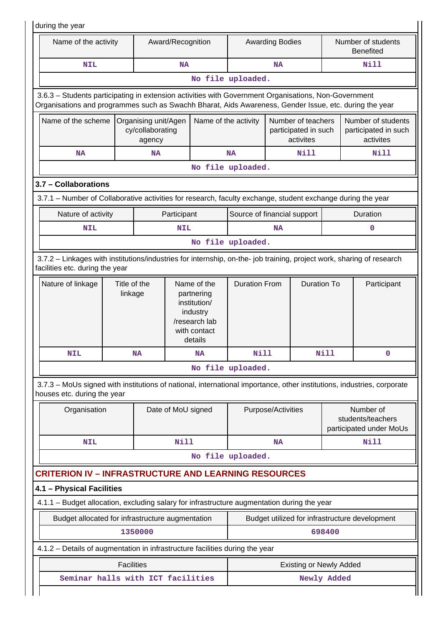| Name of the activity                                                                                                                                                                                                   |                         |                                                    | Award/Recognition  |                                                                                                   |                                            | <b>Awarding Bodies</b> |                                                         | Number of students<br><b>Benefited</b>                  |                                                |
|------------------------------------------------------------------------------------------------------------------------------------------------------------------------------------------------------------------------|-------------------------|----------------------------------------------------|--------------------|---------------------------------------------------------------------------------------------------|--------------------------------------------|------------------------|---------------------------------------------------------|---------------------------------------------------------|------------------------------------------------|
| <b>NIL</b>                                                                                                                                                                                                             |                         |                                                    | <b>NA</b>          |                                                                                                   |                                            | <b>NA</b>              |                                                         |                                                         | <b>Nill</b>                                    |
|                                                                                                                                                                                                                        |                         |                                                    |                    |                                                                                                   | No file uploaded.                          |                        |                                                         |                                                         |                                                |
| 3.6.3 - Students participating in extension activities with Government Organisations, Non-Government<br>Organisations and programmes such as Swachh Bharat, Aids Awareness, Gender Issue, etc. during the year         |                         |                                                    |                    |                                                                                                   |                                            |                        |                                                         |                                                         |                                                |
| Name of the scheme                                                                                                                                                                                                     |                         | Organising unit/Agen<br>cy/collaborating<br>agency |                    | Name of the activity                                                                              |                                            |                        | Number of teachers<br>participated in such<br>activites | Number of students<br>participated in such<br>activites |                                                |
| <b>NA</b>                                                                                                                                                                                                              |                         | <b>NA</b>                                          |                    |                                                                                                   | <b>NA</b>                                  | Nill                   |                                                         |                                                         | <b>Nill</b>                                    |
|                                                                                                                                                                                                                        |                         |                                                    |                    |                                                                                                   | No file uploaded.                          |                        |                                                         |                                                         |                                                |
| 3.7 - Collaborations                                                                                                                                                                                                   |                         |                                                    |                    |                                                                                                   |                                            |                        |                                                         |                                                         |                                                |
| 3.7.1 – Number of Collaborative activities for research, faculty exchange, student exchange during the year                                                                                                            |                         |                                                    |                    |                                                                                                   |                                            |                        |                                                         |                                                         |                                                |
| Nature of activity                                                                                                                                                                                                     |                         |                                                    | Participant        |                                                                                                   | Source of financial support                |                        |                                                         |                                                         | Duration                                       |
| NIL                                                                                                                                                                                                                    |                         |                                                    | NIL                |                                                                                                   |                                            | NA                     |                                                         |                                                         | 0                                              |
|                                                                                                                                                                                                                        |                         |                                                    |                    |                                                                                                   | No file uploaded.                          |                        |                                                         |                                                         |                                                |
| 3.7.2 - Linkages with institutions/industries for internship, on-the- job training, project work, sharing of research<br>facilities etc. during the year                                                               |                         |                                                    |                    |                                                                                                   |                                            |                        |                                                         |                                                         |                                                |
| Nature of linkage                                                                                                                                                                                                      | Title of the<br>linkage |                                                    |                    | Name of the<br>partnering<br>institution/<br>industry<br>/research lab<br>with contact<br>details | <b>Duration From</b><br><b>Duration To</b> |                        |                                                         | Participant                                             |                                                |
| <b>NIL</b>                                                                                                                                                                                                             |                         | NA                                                 |                    | NA                                                                                                | Nill                                       |                        |                                                         | Nill                                                    | 0                                              |
| 3.7.3 – MoUs signed with institutions of national, international importance, other institutions, industries, corporate                                                                                                 |                         |                                                    |                    |                                                                                                   | No file uploaded.                          |                        |                                                         |                                                         |                                                |
|                                                                                                                                                                                                                        |                         |                                                    |                    |                                                                                                   |                                            |                        |                                                         |                                                         |                                                |
| Organisation                                                                                                                                                                                                           |                         |                                                    | Date of MoU signed |                                                                                                   |                                            | Purpose/Activities     |                                                         |                                                         | Number of<br>students/teachers                 |
| <b>NIL</b>                                                                                                                                                                                                             |                         |                                                    | <b>Nill</b>        |                                                                                                   |                                            | NA                     |                                                         |                                                         | <b>Nill</b>                                    |
|                                                                                                                                                                                                                        |                         |                                                    |                    |                                                                                                   | No file uploaded.                          |                        |                                                         |                                                         |                                                |
|                                                                                                                                                                                                                        |                         |                                                    |                    |                                                                                                   |                                            |                        |                                                         |                                                         |                                                |
|                                                                                                                                                                                                                        |                         |                                                    |                    |                                                                                                   |                                            |                        |                                                         |                                                         |                                                |
| houses etc. during the year<br><b>CRITERION IV - INFRASTRUCTURE AND LEARNING RESOURCES</b><br>4.1 - Physical Facilities<br>4.1.1 - Budget allocation, excluding salary for infrastructure augmentation during the year |                         |                                                    |                    |                                                                                                   |                                            |                        |                                                         |                                                         | participated under MoUs                        |
| Budget allocated for infrastructure augmentation                                                                                                                                                                       |                         |                                                    |                    |                                                                                                   |                                            |                        |                                                         |                                                         | Budget utilized for infrastructure development |
|                                                                                                                                                                                                                        |                         | 1350000                                            |                    |                                                                                                   |                                            |                        |                                                         | 698400                                                  |                                                |
|                                                                                                                                                                                                                        |                         |                                                    |                    |                                                                                                   |                                            |                        |                                                         |                                                         |                                                |
| 4.1.2 - Details of augmentation in infrastructure facilities during the year                                                                                                                                           | <b>Facilities</b>       |                                                    |                    |                                                                                                   |                                            |                        | <b>Existing or Newly Added</b>                          |                                                         |                                                |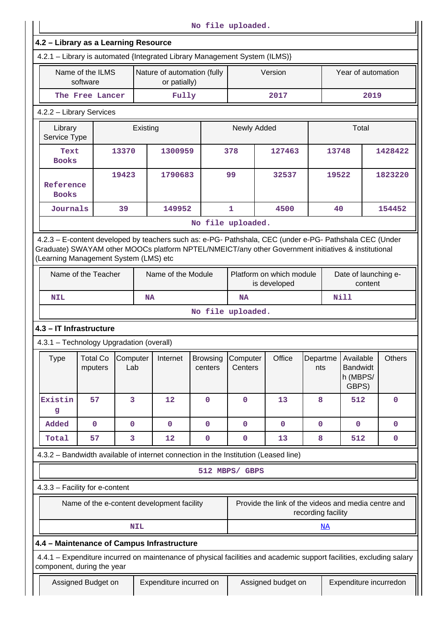|                                                                                                                                                                                                                                                         |                                           |                 |            |                                             |                                          | No file uploaded.   |                                                     |                    |                                 |                                                   |               |
|---------------------------------------------------------------------------------------------------------------------------------------------------------------------------------------------------------------------------------------------------------|-------------------------------------------|-----------------|------------|---------------------------------------------|------------------------------------------|---------------------|-----------------------------------------------------|--------------------|---------------------------------|---------------------------------------------------|---------------|
| 4.2 - Library as a Learning Resource                                                                                                                                                                                                                    |                                           |                 |            |                                             |                                          |                     |                                                     |                    |                                 |                                                   |               |
| 4.2.1 - Library is automated {Integrated Library Management System (ILMS)}                                                                                                                                                                              |                                           |                 |            |                                             |                                          |                     |                                                     |                    |                                 |                                                   |               |
|                                                                                                                                                                                                                                                         | Name of the ILMS<br>software              |                 |            | Nature of automation (fully<br>or patially) |                                          | Version             |                                                     |                    | Year of automation              |                                                   |               |
| The Free Lancer<br>Fully                                                                                                                                                                                                                                |                                           |                 |            |                                             |                                          |                     | 2017                                                |                    |                                 | 2019                                              |               |
| 4.2.2 - Library Services                                                                                                                                                                                                                                |                                           |                 |            |                                             |                                          |                     |                                                     |                    |                                 |                                                   |               |
| Library<br>Service Type                                                                                                                                                                                                                                 | Existing                                  |                 |            |                                             | Newly Added                              |                     |                                                     | Total              |                                 |                                                   |               |
| Text<br><b>Books</b>                                                                                                                                                                                                                                    |                                           | 13370           |            | 1300959                                     |                                          | 378                 | 127463                                              |                    | 13748                           |                                                   | 1428422       |
| Reference<br><b>Books</b>                                                                                                                                                                                                                               |                                           | 19423           |            | 1790683                                     |                                          | 99                  | 32537                                               |                    | 19522                           |                                                   | 1823220       |
| Journals                                                                                                                                                                                                                                                |                                           | 39              |            | 149952                                      |                                          | $\mathbf{1}$        | 4500                                                |                    | 40                              |                                                   | 154452        |
|                                                                                                                                                                                                                                                         |                                           |                 |            |                                             |                                          | No file uploaded.   |                                                     |                    |                                 |                                                   |               |
| 4.2.3 - E-content developed by teachers such as: e-PG- Pathshala, CEC (under e-PG- Pathshala CEC (Under<br>Graduate) SWAYAM other MOOCs platform NPTEL/NMEICT/any other Government initiatives & institutional<br>(Learning Management System (LMS) etc |                                           |                 |            |                                             |                                          |                     |                                                     |                    |                                 |                                                   |               |
|                                                                                                                                                                                                                                                         | Name of the Teacher<br>Name of the Module |                 |            |                                             | Platform on which module<br>is developed |                     |                                                     |                    | Date of launching e-<br>content |                                                   |               |
| <b>NIL</b>                                                                                                                                                                                                                                              |                                           |                 | <b>NA</b>  |                                             |                                          | <b>NA</b>           |                                                     |                    |                                 | Nill                                              |               |
|                                                                                                                                                                                                                                                         | No file uploaded.                         |                 |            |                                             |                                          |                     |                                                     |                    |                                 |                                                   |               |
| 4.3 - IT Infrastructure                                                                                                                                                                                                                                 |                                           |                 |            |                                             |                                          |                     |                                                     |                    |                                 |                                                   |               |
| 4.3.1 - Technology Upgradation (overall)                                                                                                                                                                                                                |                                           |                 |            |                                             |                                          |                     |                                                     |                    |                                 |                                                   |               |
| <b>Type</b>                                                                                                                                                                                                                                             | <b>Total Co</b><br>mputers                | Computer<br>Lab |            | Internet                                    | <b>Browsing</b><br>centers               | Computer<br>Centers | Office                                              | Departme<br>nts    |                                 | Available<br><b>Bandwidt</b><br>h (MBPS/<br>GBPS) | <b>Others</b> |
| Existin<br>g                                                                                                                                                                                                                                            | 57                                        | 3               |            | 12                                          | $\mathbf 0$                              | $\mathbf 0$         | 13                                                  | 8                  |                                 | 512                                               | $\mathbf 0$   |
| Added                                                                                                                                                                                                                                                   | 0                                         | 0               |            | $\mathbf 0$                                 | $\mathbf 0$                              | $\mathbf 0$         | $\mathbf 0$                                         | $\mathbf 0$        |                                 | $\mathbf 0$                                       | $\mathbf 0$   |
| Total                                                                                                                                                                                                                                                   | 57                                        | 3               |            | 12                                          | 0                                        | 0                   | 13                                                  | 8                  |                                 | 512                                               | $\mathbf 0$   |
| 4.3.2 - Bandwidth available of internet connection in the Institution (Leased line)                                                                                                                                                                     |                                           |                 |            |                                             |                                          |                     |                                                     |                    |                                 |                                                   |               |
|                                                                                                                                                                                                                                                         |                                           |                 |            |                                             |                                          | 512 MBPS/ GBPS      |                                                     |                    |                                 |                                                   |               |
| 4.3.3 - Facility for e-content                                                                                                                                                                                                                          |                                           |                 |            |                                             |                                          |                     |                                                     |                    |                                 |                                                   |               |
|                                                                                                                                                                                                                                                         |                                           |                 |            | Name of the e-content development facility  |                                          |                     | Provide the link of the videos and media centre and | recording facility |                                 |                                                   |               |
|                                                                                                                                                                                                                                                         |                                           |                 | <b>NIL</b> |                                             |                                          |                     |                                                     | <u>NA</u>          |                                 |                                                   |               |
| 4.4 - Maintenance of Campus Infrastructure                                                                                                                                                                                                              |                                           |                 |            |                                             |                                          |                     |                                                     |                    |                                 |                                                   |               |
| 4.4.1 - Expenditure incurred on maintenance of physical facilities and academic support facilities, excluding salary<br>component, during the year                                                                                                      |                                           |                 |            |                                             |                                          |                     |                                                     |                    |                                 |                                                   |               |
|                                                                                                                                                                                                                                                         | Assigned Budget on                        |                 |            | Expenditure incurred on                     |                                          |                     | Assigned budget on                                  |                    |                                 | Expenditure incurredon                            |               |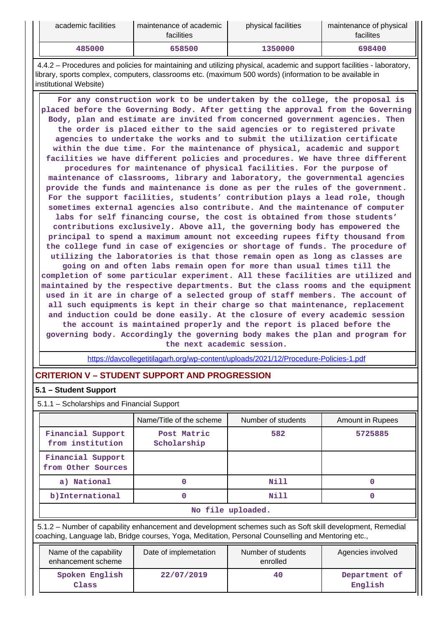| academic facilities | maintenance of academic<br><b>facilities</b> | physical facilities | maintenance of physical<br>facilites |
|---------------------|----------------------------------------------|---------------------|--------------------------------------|
| 485000              | 658500                                       | 1350000             | 698400                               |

 4.4.2 – Procedures and policies for maintaining and utilizing physical, academic and support facilities - laboratory, library, sports complex, computers, classrooms etc. (maximum 500 words) (information to be available in institutional Website)

 **For any construction work to be undertaken by the college, the proposal is placed before the Governing Body. After getting the approval from the Governing Body, plan and estimate are invited from concerned government agencies. Then the order is placed either to the said agencies or to registered private agencies to undertake the works and to submit the utilization certificate within the due time. For the maintenance of physical, academic and support facilities we have different policies and procedures. We have three different procedures for maintenance of physical facilities. For the purpose of maintenance of classrooms, library and laboratory, the governmental agencies provide the funds and maintenance is done as per the rules of the government. For the support facilities, students' contribution plays a lead role, though sometimes external agencies also contribute. And the maintenance of computer labs for self financing course, the cost is obtained from those students' contributions exclusively. Above all, the governing body has empowered the principal to spend a maximum amount not exceeding rupees fifty thousand from the college fund in case of exigencies or shortage of funds. The procedure of utilizing the laboratories is that those remain open as long as classes are going on and often labs remain open for more than usual times till the completion of some particular experiment. All these facilities are utilized and maintained by the respective departments. But the class rooms and the equipment used in it are in charge of a selected group of staff members. The account of all such equipments is kept in their charge so that maintenance, replacement and induction could be done easily. At the closure of every academic session the account is maintained properly and the report is placed before the governing body. Accordingly the governing body makes the plan and program for the next academic session.**

<https://davcollegetitilagarh.org/wp-content/uploads/2021/12/Procedure-Policies-1.pdf>

## **CRITERION V – STUDENT SUPPORT AND PROGRESSION**

|  | 5.1 - Student Support |  |
|--|-----------------------|--|
|--|-----------------------|--|

5.1.1 – Scholarships and Financial Support

|                                         | Name/Title of the scheme   | Number of students | Amount in Rupees |  |  |  |  |  |  |
|-----------------------------------------|----------------------------|--------------------|------------------|--|--|--|--|--|--|
| Financial Support<br>from institution   | Post Matric<br>Scholarship | 582                | 5725885          |  |  |  |  |  |  |
| Financial Support<br>from Other Sources |                            |                    |                  |  |  |  |  |  |  |
| a) National                             |                            | Nill               | 0                |  |  |  |  |  |  |
| b) International                        |                            |                    | 0                |  |  |  |  |  |  |
|                                         | No file uploaded.          |                    |                  |  |  |  |  |  |  |

 5.1.2 – Number of capability enhancement and development schemes such as Soft skill development, Remedial coaching, Language lab, Bridge courses, Yoga, Meditation, Personal Counselling and Mentoring etc.,

| Name of the capability<br>enhancement scheme | Date of implemetation | Number of students<br>enrolled | Agencies involved        |
|----------------------------------------------|-----------------------|--------------------------------|--------------------------|
| Spoken English<br>Class                      | 22/07/2019            | 40                             | Department of<br>English |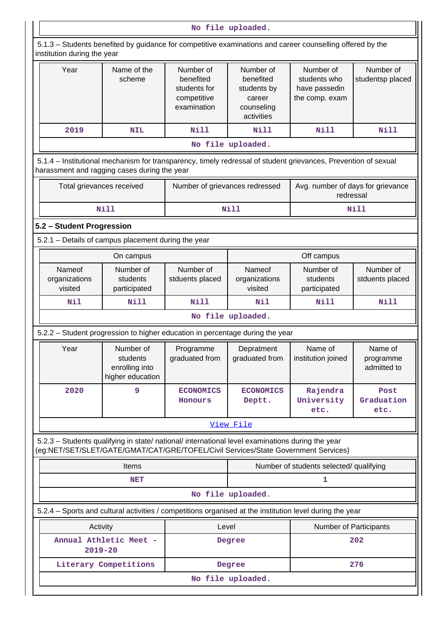|                                                                                                                                                                                        |                                                                                                                                          |                                                                      | No file uploaded.                                                           |                                                              |                                     |  |  |  |  |  |
|----------------------------------------------------------------------------------------------------------------------------------------------------------------------------------------|------------------------------------------------------------------------------------------------------------------------------------------|----------------------------------------------------------------------|-----------------------------------------------------------------------------|--------------------------------------------------------------|-------------------------------------|--|--|--|--|--|
|                                                                                                                                                                                        | 5.1.3 – Students benefited by guidance for competitive examinations and career counselling offered by the<br>institution during the year |                                                                      |                                                                             |                                                              |                                     |  |  |  |  |  |
| Year                                                                                                                                                                                   | Name of the<br>scheme                                                                                                                    | Number of<br>benefited<br>students for<br>competitive<br>examination | Number of<br>benefited<br>students by<br>career<br>counseling<br>activities | Number of<br>students who<br>have passedin<br>the comp. exam | Number of<br>studentsp placed       |  |  |  |  |  |
| 2019                                                                                                                                                                                   | <b>NIL</b>                                                                                                                               | <b>Nill</b>                                                          | <b>Nill</b>                                                                 | Nill                                                         | <b>Nill</b>                         |  |  |  |  |  |
|                                                                                                                                                                                        |                                                                                                                                          |                                                                      | No file uploaded.                                                           |                                                              |                                     |  |  |  |  |  |
| 5.1.4 - Institutional mechanism for transparency, timely redressal of student grievances, Prevention of sexual<br>harassment and ragging cases during the year                         |                                                                                                                                          |                                                                      |                                                                             |                                                              |                                     |  |  |  |  |  |
| Total grievances received                                                                                                                                                              |                                                                                                                                          | Number of grievances redressed                                       |                                                                             | Avg. number of days for grievance<br>redressal               |                                     |  |  |  |  |  |
|                                                                                                                                                                                        | <b>Nill</b>                                                                                                                              |                                                                      | <b>Nill</b>                                                                 |                                                              | <b>Nill</b>                         |  |  |  |  |  |
| 5.2 - Student Progression                                                                                                                                                              |                                                                                                                                          |                                                                      |                                                                             |                                                              |                                     |  |  |  |  |  |
| 5.2.1 - Details of campus placement during the year                                                                                                                                    |                                                                                                                                          |                                                                      |                                                                             |                                                              |                                     |  |  |  |  |  |
|                                                                                                                                                                                        | On campus                                                                                                                                |                                                                      |                                                                             | Off campus                                                   |                                     |  |  |  |  |  |
| Nameof<br>organizations<br>visited                                                                                                                                                     | Number of<br>students<br>participated                                                                                                    |                                                                      | Nameof<br>organizations<br>visited                                          | Number of<br>students<br>participated                        | Number of<br>stduents placed        |  |  |  |  |  |
| Nil                                                                                                                                                                                    | <b>Nill</b>                                                                                                                              | <b>Nill</b>                                                          | Nil                                                                         | <b>Nill</b>                                                  | <b>Nill</b>                         |  |  |  |  |  |
|                                                                                                                                                                                        |                                                                                                                                          |                                                                      | No file uploaded.                                                           |                                                              |                                     |  |  |  |  |  |
| 5.2.2 - Student progression to higher education in percentage during the year                                                                                                          |                                                                                                                                          |                                                                      |                                                                             |                                                              |                                     |  |  |  |  |  |
| Year                                                                                                                                                                                   | Number of<br>students<br>enrolling into<br>higher education                                                                              | Programme<br>graduated from                                          | Depratment<br>graduated from                                                | Name of<br>institution joined                                | Name of<br>programme<br>admitted to |  |  |  |  |  |
| 2020                                                                                                                                                                                   | 9                                                                                                                                        | <b>ECONOMICS</b><br>Honours                                          | <b>ECONOMICS</b><br>Deptt.                                                  | Rajendra<br>University<br>etc.                               | Post<br>Graduation<br>etc.          |  |  |  |  |  |
|                                                                                                                                                                                        |                                                                                                                                          |                                                                      | View File                                                                   |                                                              |                                     |  |  |  |  |  |
| 5.2.3 - Students qualifying in state/ national/ international level examinations during the year<br>(eg:NET/SET/SLET/GATE/GMAT/CAT/GRE/TOFEL/Civil Services/State Government Services) |                                                                                                                                          |                                                                      |                                                                             |                                                              |                                     |  |  |  |  |  |
|                                                                                                                                                                                        | Items                                                                                                                                    |                                                                      |                                                                             | Number of students selected/ qualifying                      |                                     |  |  |  |  |  |
|                                                                                                                                                                                        | NET                                                                                                                                      |                                                                      |                                                                             | 1                                                            |                                     |  |  |  |  |  |
|                                                                                                                                                                                        |                                                                                                                                          |                                                                      | No file uploaded.                                                           |                                                              |                                     |  |  |  |  |  |
| 5.2.4 - Sports and cultural activities / competitions organised at the institution level during the year                                                                               |                                                                                                                                          |                                                                      |                                                                             |                                                              |                                     |  |  |  |  |  |
| Activity                                                                                                                                                                               |                                                                                                                                          | Level                                                                |                                                                             | <b>Number of Participants</b>                                |                                     |  |  |  |  |  |
| $2019 - 20$                                                                                                                                                                            | Annual Athletic Meet -                                                                                                                   |                                                                      | Degree                                                                      |                                                              | 202                                 |  |  |  |  |  |
|                                                                                                                                                                                        | Literary Competitions                                                                                                                    |                                                                      | Degree                                                                      |                                                              | 276                                 |  |  |  |  |  |
|                                                                                                                                                                                        |                                                                                                                                          |                                                                      | No file uploaded.                                                           |                                                              |                                     |  |  |  |  |  |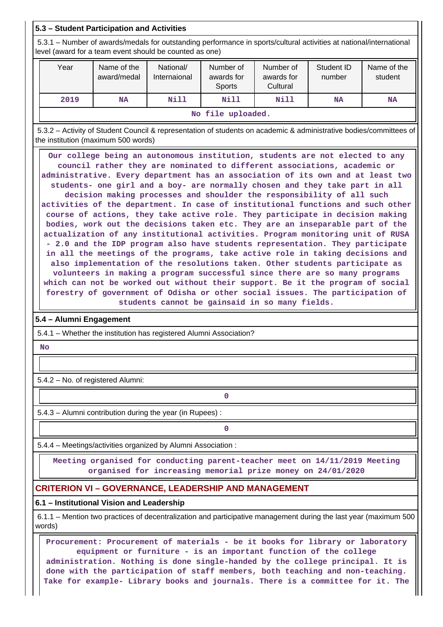### **5.3 – Student Participation and Activities**

 5.3.1 – Number of awards/medals for outstanding performance in sports/cultural activities at national/international level (award for a team event should be counted as one)

| Year | Name of the<br>award/medal | National/<br>Internaional | Number of<br>awards for<br>Sports | Number of<br>awards for<br>Cultural | Student ID<br>number | Name of the<br>student |  |  |  |  |
|------|----------------------------|---------------------------|-----------------------------------|-------------------------------------|----------------------|------------------------|--|--|--|--|
| 2019 | NA                         | Nill                      | Nill                              | Nill                                | <b>NA</b>            | <b>NA</b>              |  |  |  |  |
|      | No file uploaded.          |                           |                                   |                                     |                      |                        |  |  |  |  |

 5.3.2 – Activity of Student Council & representation of students on academic & administrative bodies/committees of the institution (maximum 500 words)

 **Our college being an autonomous institution, students are not elected to any council rather they are nominated to different associations, academic or administrative. Every department has an association of its own and at least two students- one girl and a boy- are normally chosen and they take part in all decision making processes and shoulder the responsibility of all such activities of the department. In case of institutional functions and such other course of actions, they take active role. They participate in decision making bodies, work out the decisions taken etc. They are an inseparable part of the actualization of any institutional activities. Program monitoring unit of RUSA - 2.0 and the IDP program also have students representation. They participate in all the meetings of the programs, take active role in taking decisions and also implementation of the resolutions taken. Other students participate as volunteers in making a program successful since there are so many programs which can not be worked out without their support. Be it the program of social forestry of government of Odisha or other social issues. The participation of students cannot be gainsaid in so many fields.**

### **5.4 – Alumni Engagement**

5.4.1 – Whether the institution has registered Alumni Association?

 **No**

5.4.2 – No. of registered Alumni:

5.4.3 – Alumni contribution during the year (in Rupees) :

**0**

**0**

5.4.4 – Meetings/activities organized by Alumni Association :

 **Meeting organised for conducting parent-teacher meet on 14/11/2019 Meeting organised for increasing memorial prize money on 24/01/2020**

## **CRITERION VI – GOVERNANCE, LEADERSHIP AND MANAGEMENT**

### **6.1 – Institutional Vision and Leadership**

 6.1.1 – Mention two practices of decentralization and participative management during the last year (maximum 500 words)

 **Procurement: Procurement of materials - be it books for library or laboratory equipment or furniture - is an important function of the college administration. Nothing is done single-handed by the college principal. It is done with the participation of staff members, both teaching and non-teaching. Take for example- Library books and journals. There is a committee for it. The**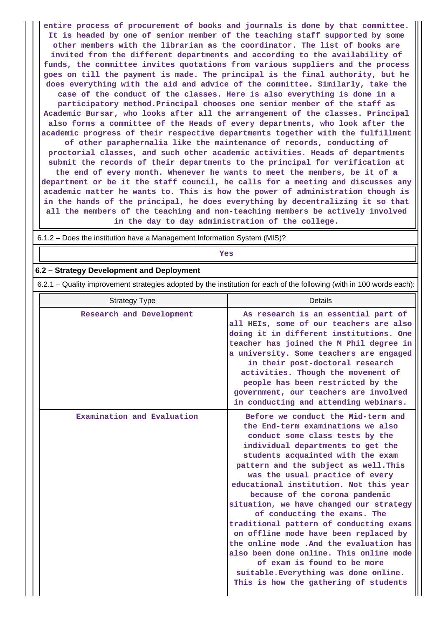**entire process of procurement of books and journals is done by that committee. It is headed by one of senior member of the teaching staff supported by some other members with the librarian as the coordinator. The list of books are invited from the different departments and according to the availability of funds, the committee invites quotations from various suppliers and the process goes on till the payment is made. The principal is the final authority, but he does everything with the aid and advice of the committee. Similarly, take the case of the conduct of the classes. Here is also everything is done in a participatory method.Principal chooses one senior member of the staff as Academic Bursar, who looks after all the arrangement of the classes. Principal also forms a committee of the Heads of every departments, who look after the academic progress of their respective departments together with the fulfillment of other paraphernalia like the maintenance of records, conducting of proctorial classes, and such other academic activities. Heads of departments submit the records of their departments to the principal for verification at the end of every month. Whenever he wants to meet the members, be it of a department or be it the staff council, he calls for a meeting and discusses any academic matter he wants to. This is how the power of administration though is in the hands of the principal, he does everything by decentralizing it so that all the members of the teaching and non-teaching members be actively involved in the day to day administration of the college.**

6.1.2 – Does the institution have a Management Information System (MIS)?

## **6.2 – Strategy Development and Deployment**

*Yes* 

6.2.1 – Quality improvement strategies adopted by the institution for each of the following (with in 100 words each):

| <b>Strategy Type</b>       | Details                                                                                                                                                                                                                                                                                                                                                                                                                                                                                                                                                                                                                                                                                                            |
|----------------------------|--------------------------------------------------------------------------------------------------------------------------------------------------------------------------------------------------------------------------------------------------------------------------------------------------------------------------------------------------------------------------------------------------------------------------------------------------------------------------------------------------------------------------------------------------------------------------------------------------------------------------------------------------------------------------------------------------------------------|
| Research and Development   | As research is an essential part of<br>all HEIs, some of our teachers are also<br>doing it in different institutions. One<br>teacher has joined the M Phil degree in<br>a university. Some teachers are engaged<br>in their post-doctoral research<br>activities. Though the movement of<br>people has been restricted by the<br>government, our teachers are involved<br>in conducting and attending webinars.                                                                                                                                                                                                                                                                                                    |
| Examination and Evaluation | Before we conduct the Mid-term and<br>the End-term examinations we also<br>conduct some class tests by the<br>individual departments to get the<br>students acquainted with the exam<br>pattern and the subject as well. This<br>was the usual practice of every<br>educational institution. Not this year<br>because of the corona pandemic<br>situation, we have changed our strategy<br>of conducting the exams. The<br>traditional pattern of conducting exams<br>on offline mode have been replaced by<br>the online mode. And the evaluation has<br>also been done online. This online mode<br>of exam is found to be more<br>suitable. Everything was done online.<br>This is how the gathering of students |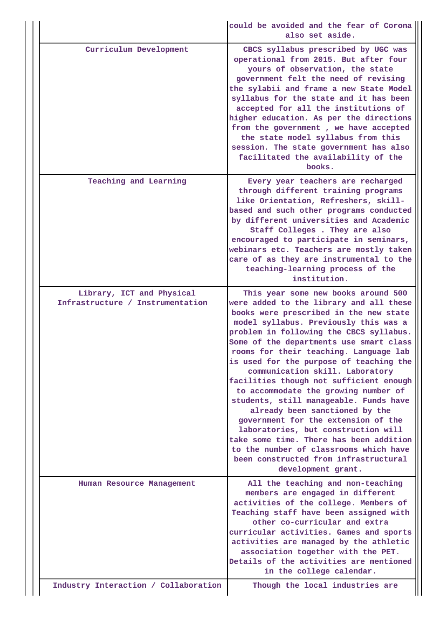|                                                               | could be avoided and the fear of Corona<br>also set aside.                                                                                                                                                                                                                                                                                                                                                                                                                                                                                                                                                                                                                                                                                                                       |
|---------------------------------------------------------------|----------------------------------------------------------------------------------------------------------------------------------------------------------------------------------------------------------------------------------------------------------------------------------------------------------------------------------------------------------------------------------------------------------------------------------------------------------------------------------------------------------------------------------------------------------------------------------------------------------------------------------------------------------------------------------------------------------------------------------------------------------------------------------|
| Curriculum Development                                        | CBCS syllabus prescribed by UGC was<br>operational from 2015. But after four<br>yours of observation, the state<br>government felt the need of revising<br>the sylabii and frame a new State Model<br>syllabus for the state and it has been<br>accepted for all the institutions of<br>higher education. As per the directions<br>from the government, we have accepted<br>the state model syllabus from this<br>session. The state government has also<br>facilitated the availability of the<br>books.                                                                                                                                                                                                                                                                        |
| Teaching and Learning                                         | Every year teachers are recharged<br>through different training programs<br>like Orientation, Refreshers, skill-<br>based and such other programs conducted<br>by different universities and Academic<br>Staff Colleges . They are also<br>encouraged to participate in seminars,<br>webinars etc. Teachers are mostly taken<br>care of as they are instrumental to the<br>teaching-learning process of the<br>institution.                                                                                                                                                                                                                                                                                                                                                      |
| Library, ICT and Physical<br>Infrastructure / Instrumentation | This year some new books around 500<br>were added to the library and all these<br>books were prescribed in the new state<br>model syllabus. Previously this was a<br>problem in following the CBCS syllabus.<br>Some of the departments use smart class<br>rooms for their teaching. Language lab<br>is used for the purpose of teaching the<br>communication skill. Laboratory<br>facilities though not sufficient enough<br>to accommodate the growing number of<br>students, still manageable. Funds have<br>already been sanctioned by the<br>government for the extension of the<br>laboratories, but construction will<br>take some time. There has been addition<br>to the number of classrooms which have<br>been constructed from infrastructural<br>development grant. |
| Human Resource Management                                     | All the teaching and non-teaching<br>members are engaged in different<br>activities of the college. Members of<br>Teaching staff have been assigned with<br>other co-curricular and extra<br>curricular activities. Games and sports<br>activities are managed by the athletic<br>association together with the PET.<br>Details of the activities are mentioned<br>in the college calendar.                                                                                                                                                                                                                                                                                                                                                                                      |
| Industry Interaction / Collaboration                          | Though the local industries are                                                                                                                                                                                                                                                                                                                                                                                                                                                                                                                                                                                                                                                                                                                                                  |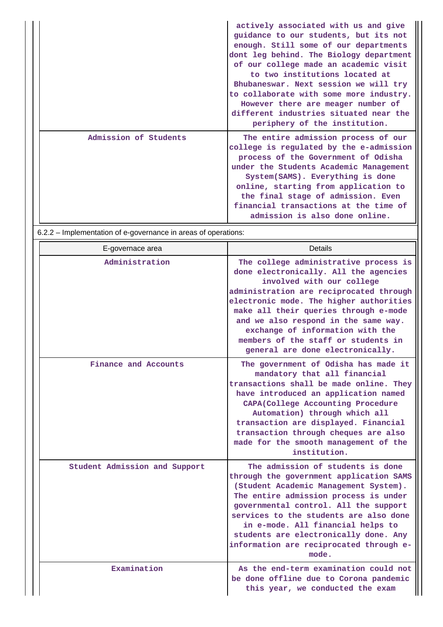|                       | actively associated with us and give<br>guidance to our students, but its not<br>enough. Still some of our departments<br>dont leg behind. The Biology department<br>of our college made an academic visit<br>to two institutions located at<br>Bhubaneswar. Next session we will try<br>to collaborate with some more industry.<br>However there are meager number of<br>different industries situated near the<br>periphery of the institution. |
|-----------------------|---------------------------------------------------------------------------------------------------------------------------------------------------------------------------------------------------------------------------------------------------------------------------------------------------------------------------------------------------------------------------------------------------------------------------------------------------|
| Admission of Students | The entire admission process of our<br>college is regulated by the e-admission<br>process of the Government of Odisha<br>under the Students Academic Management<br>System(SAMS). Everything is done<br>online, starting from application to<br>the final stage of admission. Even<br>financial transactions at the time of<br>admission is also done online.                                                                                      |

6.2.2 – Implementation of e-governance in areas of operations:

| E-governace area              | Details                                                                                                                                                                                                                                                                                                                                                                                           |
|-------------------------------|---------------------------------------------------------------------------------------------------------------------------------------------------------------------------------------------------------------------------------------------------------------------------------------------------------------------------------------------------------------------------------------------------|
| Administration                | The college administrative process is<br>done electronically. All the agencies<br>involved with our college<br>administration are reciprocated through<br>electronic mode. The higher authorities<br>make all their queries through e-mode<br>and we also respond in the same way.<br>exchange of information with the<br>members of the staff or students in<br>general are done electronically. |
| Finance and Accounts          | The government of Odisha has made it<br>mandatory that all financial<br>transactions shall be made online. They<br>have introduced an application named<br>CAPA(College Accounting Procedure<br>Automation) through which all<br>transaction are displayed. Financial<br>transaction through cheques are also<br>made for the smooth management of the<br>institution.                            |
| Student Admission and Support | The admission of students is done<br>through the government application SAMS<br>(Student Academic Management System).<br>The entire admission process is under<br>governmental control. All the support<br>services to the students are also done<br>in e-mode. All financial helps to<br>students are electronically done. Any<br>information are reciprocated through e-<br>mode.               |
| Examination                   | As the end-term examination could not<br>be done offline due to Corona pandemic<br>this year, we conducted the exam                                                                                                                                                                                                                                                                               |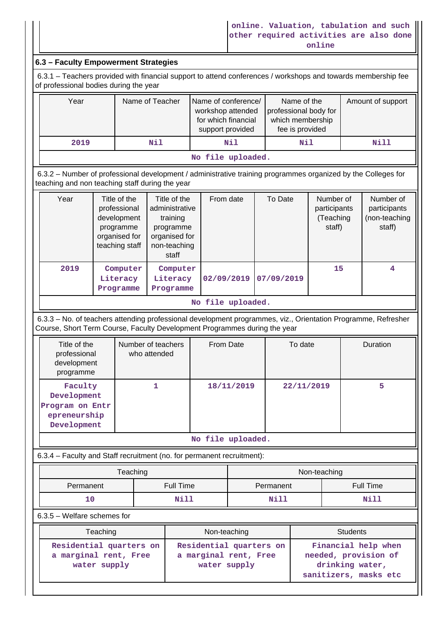### **6.3 – Faculty Empowerment Strategies**

 6.3.1 – Teachers provided with financial support to attend conferences / workshops and towards membership fee of professional bodies during the year

| Year              | Name of Teacher | Name of conference/<br>workshop attended<br>for which financial<br>support provided | Name of the<br>professional body for<br>which membership<br>fee is provided | Amount of support |  |
|-------------------|-----------------|-------------------------------------------------------------------------------------|-----------------------------------------------------------------------------|-------------------|--|
| 2019              | Nil             | Nil                                                                                 | Nil                                                                         | Nill              |  |
| No file uploaded. |                 |                                                                                     |                                                                             |                   |  |

 6.3.2 – Number of professional development / administrative training programmes organized by the Colleges for teaching and non teaching staff during the year

| Year              | Title of the<br>professional<br>development<br>programme<br>organised for<br>teaching staff | Title of the<br>administrative<br>training<br>programme<br>organised for<br>non-teaching<br>staff | From date  | To Date    | Number of<br>participants<br>(Teaching<br>staff) | Number of<br>participants<br>(non-teaching<br>staff) |
|-------------------|---------------------------------------------------------------------------------------------|---------------------------------------------------------------------------------------------------|------------|------------|--------------------------------------------------|------------------------------------------------------|
| 2019              | Computer<br>Literacy<br>Programme                                                           | Computer<br>Literacy<br>Programme                                                                 | 02/09/2019 | 07/09/2019 | 15                                               | 4                                                    |
| No file uploaded. |                                                                                             |                                                                                                   |            |            |                                                  |                                                      |

 6.3.3 – No. of teachers attending professional development programmes, viz., Orientation Programme, Refresher Course, Short Term Course, Faculty Development Programmes during the year

| Title of the<br>professional<br>development<br>programme                 | Number of teachers<br>who attended | From Date  | To date    | Duration |
|--------------------------------------------------------------------------|------------------------------------|------------|------------|----------|
| Faculty<br>Development<br>Program on Entr<br>epreneurship<br>Development |                                    | 18/11/2019 | 22/11/2019 | 5        |

**No file uploaded.**

6.3.4 – Faculty and Staff recruitment (no. for permanent recruitment):

|                        | Teaching | Non-teaching                  |      |  |
|------------------------|----------|-------------------------------|------|--|
| Full Time<br>Permanent |          | <b>Full Time</b><br>Permanent |      |  |
| 10                     | Nill     | Nill                          | Nill |  |

6.3.5 – Welfare schemes for

| Teaching                                                         | Non-teaching                                                     | <b>Students</b>                                                                         |  |  |
|------------------------------------------------------------------|------------------------------------------------------------------|-----------------------------------------------------------------------------------------|--|--|
| Residential quarters on<br>a marginal rent, Free<br>water supply | Residential quarters on<br>a marginal rent, Free<br>water supply | Financial help when<br>needed, provision of<br>drinking water,<br>sanitizers, masks etc |  |  |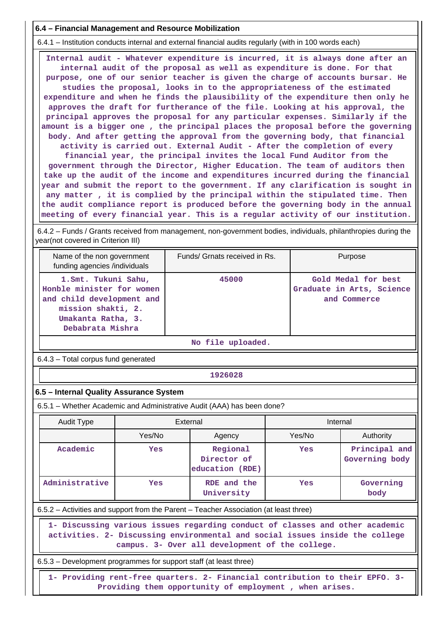#### **6.4 – Financial Management and Resource Mobilization**

6.4.1 – Institution conducts internal and external financial audits regularly (with in 100 words each)

 **Internal audit - Whatever expenditure is incurred, it is always done after an internal audit of the proposal as well as expenditure is done. For that purpose, one of our senior teacher is given the charge of accounts bursar. He studies the proposal, looks in to the appropriateness of the estimated expenditure and when he finds the plausibility of the expenditure then only he approves the draft for furtherance of the file. Looking at his approval, the principal approves the proposal for any particular expenses. Similarly if the amount is a bigger one , the principal places the proposal before the governing body. And after getting the approval from the governing body, that financial activity is carried out. External Audit - After the completion of every financial year, the principal invites the local Fund Auditor from the government through the Director, Higher Education. The team of auditors then take up the audit of the income and expenditures incurred during the financial year and submit the report to the government. If any clarification is sought in any matter , it is complied by the principal within the stipulated time. Then the audit compliance report is produced before the governing body in the annual meeting of every financial year. This is a regular activity of our institution.**

 6.4.2 – Funds / Grants received from management, non-government bodies, individuals, philanthropies during the year(not covered in Criterion III)

| Name of the non government<br>funding agencies /individuals                                                                                   | Funds/ Grnats received in Rs. | Purpose                                                          |
|-----------------------------------------------------------------------------------------------------------------------------------------------|-------------------------------|------------------------------------------------------------------|
| 1.Smt. Tukuni Sahu,<br>Honble minister for women<br>and child development and<br>mission shakti, 2.<br>Umakanta Ratha, 3.<br>Debabrata Mishra | 45000                         | Gold Medal for best<br>Graduate in Arts, Science<br>and Commerce |

#### **No file uploaded.**

6.4.3 – Total corpus fund generated

#### **1926028**

#### **6.5 – Internal Quality Assurance System**

6.5.1 – Whether Academic and Administrative Audit (AAA) has been done?

| <b>Audit Type</b> | External                                                                              |                                            | Internal |                                 |  |  |
|-------------------|---------------------------------------------------------------------------------------|--------------------------------------------|----------|---------------------------------|--|--|
|                   | Yes/No                                                                                | Agency                                     | Yes/No   | Authority                       |  |  |
| Academic          | Yes                                                                                   | Regional<br>Director of<br>education (RDE) | Yes      | Principal and<br>Governing body |  |  |
| Administrative    | Yes                                                                                   | RDE and the<br>University                  | Yes      | Governing<br>body               |  |  |
|                   | 6.5.2 – Activities and support from the Parent – Teacher Association (at least three) |                                            |          |                                 |  |  |

 **1- Discussing various issues regarding conduct of classes and other academic activities. 2- Discussing environmental and social issues inside the college campus. 3- Over all development of the college.**

6.5.3 – Development programmes for support staff (at least three)

 **1- Providing rent-free quarters. 2- Financial contribution to their EPFO. 3- Providing them opportunity of employment , when arises.**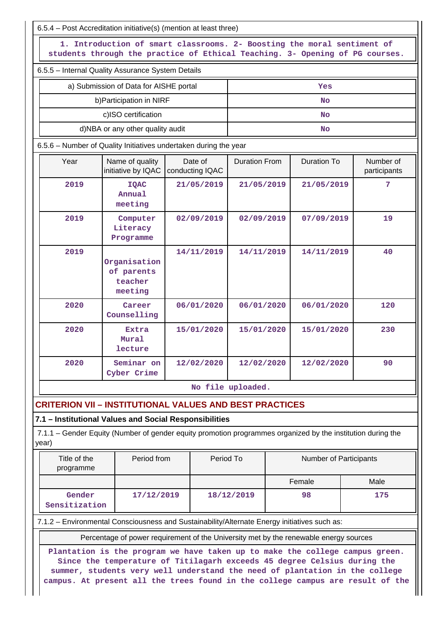|                                                                                                                                                                                                                                                                                                                                                                                                                    | 6.5.4 - Post Accreditation initiative(s) (mention at least three)                                           |  |                            |                      |           |                        |                           |
|--------------------------------------------------------------------------------------------------------------------------------------------------------------------------------------------------------------------------------------------------------------------------------------------------------------------------------------------------------------------------------------------------------------------|-------------------------------------------------------------------------------------------------------------|--|----------------------------|----------------------|-----------|------------------------|---------------------------|
| 1. Introduction of smart classrooms. 2- Boosting the moral sentiment of<br>students through the practice of Ethical Teaching. 3- Opening of PG courses.                                                                                                                                                                                                                                                            |                                                                                                             |  |                            |                      |           |                        |                           |
|                                                                                                                                                                                                                                                                                                                                                                                                                    | 6.5.5 - Internal Quality Assurance System Details                                                           |  |                            |                      |           |                        |                           |
|                                                                                                                                                                                                                                                                                                                                                                                                                    | a) Submission of Data for AISHE portal                                                                      |  |                            |                      |           | Yes                    |                           |
|                                                                                                                                                                                                                                                                                                                                                                                                                    | b) Participation in NIRF                                                                                    |  |                            |                      |           | <b>No</b>              |                           |
|                                                                                                                                                                                                                                                                                                                                                                                                                    | c)ISO certification                                                                                         |  |                            |                      |           | <b>No</b>              |                           |
| d)NBA or any other quality audit                                                                                                                                                                                                                                                                                                                                                                                   |                                                                                                             |  |                            |                      | <b>No</b> |                        |                           |
| 6.5.6 – Number of Quality Initiatives undertaken during the year                                                                                                                                                                                                                                                                                                                                                   |                                                                                                             |  |                            |                      |           |                        |                           |
| Year                                                                                                                                                                                                                                                                                                                                                                                                               | Name of quality<br>initiative by IQAC                                                                       |  | Date of<br>conducting IQAC | <b>Duration From</b> |           | <b>Duration To</b>     | Number of<br>participants |
| 2019                                                                                                                                                                                                                                                                                                                                                                                                               | <b>IQAC</b><br>Annual<br>meeting                                                                            |  | 21/05/2019                 | 21/05/2019           |           | 21/05/2019             | 7                         |
| 2019                                                                                                                                                                                                                                                                                                                                                                                                               | Computer<br>Literacy<br>Programme                                                                           |  | 02/09/2019                 | 02/09/2019           |           | 07/09/2019             | 19                        |
| 2019                                                                                                                                                                                                                                                                                                                                                                                                               | Organisation<br>of parents<br>teacher<br>meeting                                                            |  | 14/11/2019                 | 14/11/2019           |           | 14/11/2019             | 40                        |
| 2020                                                                                                                                                                                                                                                                                                                                                                                                               | Career<br>Counselling                                                                                       |  | 06/01/2020                 | 06/01/2020           |           | 06/01/2020             | 120                       |
| 2020                                                                                                                                                                                                                                                                                                                                                                                                               | <b>Extra</b><br>Mural<br>lecture                                                                            |  | 15/01/2020                 | 15/01/2020           |           | 15/01/2020             | 230                       |
| 2020                                                                                                                                                                                                                                                                                                                                                                                                               | Seminar on<br>Cyber Crime                                                                                   |  | 12/02/2020                 | 12/02/2020           |           | 12/02/2020             | 90                        |
|                                                                                                                                                                                                                                                                                                                                                                                                                    |                                                                                                             |  |                            | No file uploaded.    |           |                        |                           |
|                                                                                                                                                                                                                                                                                                                                                                                                                    | <b>CRITERION VII - INSTITUTIONAL VALUES AND BEST PRACTICES</b>                                              |  |                            |                      |           |                        |                           |
|                                                                                                                                                                                                                                                                                                                                                                                                                    | 7.1 - Institutional Values and Social Responsibilities                                                      |  |                            |                      |           |                        |                           |
| year)                                                                                                                                                                                                                                                                                                                                                                                                              | 7.1.1 – Gender Equity (Number of gender equity promotion programmes organized by the institution during the |  |                            |                      |           |                        |                           |
| Title of the<br>programme                                                                                                                                                                                                                                                                                                                                                                                          | Period from                                                                                                 |  | Period To                  |                      |           | Number of Participants |                           |
|                                                                                                                                                                                                                                                                                                                                                                                                                    |                                                                                                             |  |                            |                      |           | Female                 | Male                      |
| Gender<br>Sensitization                                                                                                                                                                                                                                                                                                                                                                                            | 17/12/2019                                                                                                  |  |                            | 18/12/2019           |           | 98                     | 175                       |
|                                                                                                                                                                                                                                                                                                                                                                                                                    | 7.1.2 - Environmental Consciousness and Sustainability/Alternate Energy initiatives such as:                |  |                            |                      |           |                        |                           |
|                                                                                                                                                                                                                                                                                                                                                                                                                    |                                                                                                             |  |                            |                      |           |                        |                           |
| Percentage of power requirement of the University met by the renewable energy sources<br>Plantation is the program we have taken up to make the college campus green.<br>Since the temperature of Titilagarh exceeds 45 degree Celsius during the<br>summer, students very well understand the need of plantation in the college<br>campus. At present all the trees found in the college campus are result of the |                                                                                                             |  |                            |                      |           |                        |                           |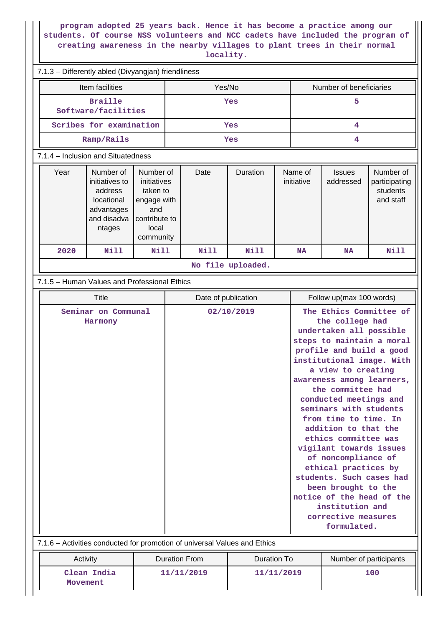**program adopted 25 years back. Hence it has become a practice among our students. Of course NSS volunteers and NCC cadets have included the program of creating awareness in the nearby villages to plant trees in their normal locality.**

| 7.1.3 - Differently abled (Divyangjan) friendliness |                                       |                                                                                             |                                                                                                   |                     |      |                                                                                                                                                                                                                                                                                                                                                                                                                                                                                                                                                                                     |                          |                       |                            |                                                     |
|-----------------------------------------------------|---------------------------------------|---------------------------------------------------------------------------------------------|---------------------------------------------------------------------------------------------------|---------------------|------|-------------------------------------------------------------------------------------------------------------------------------------------------------------------------------------------------------------------------------------------------------------------------------------------------------------------------------------------------------------------------------------------------------------------------------------------------------------------------------------------------------------------------------------------------------------------------------------|--------------------------|-----------------------|----------------------------|-----------------------------------------------------|
|                                                     | Item facilities                       |                                                                                             |                                                                                                   | Yes/No              |      |                                                                                                                                                                                                                                                                                                                                                                                                                                                                                                                                                                                     | Number of beneficiaries  |                       |                            |                                                     |
|                                                     | <b>Braille</b><br>Software/facilities |                                                                                             |                                                                                                   | Yes                 |      |                                                                                                                                                                                                                                                                                                                                                                                                                                                                                                                                                                                     |                          | 5                     |                            |                                                     |
|                                                     |                                       | Scribes for examination                                                                     |                                                                                                   | Yes                 |      |                                                                                                                                                                                                                                                                                                                                                                                                                                                                                                                                                                                     | 4                        |                       |                            |                                                     |
|                                                     |                                       | Ramp/Rails                                                                                  |                                                                                                   | Yes                 |      |                                                                                                                                                                                                                                                                                                                                                                                                                                                                                                                                                                                     | 4                        |                       |                            |                                                     |
| 7.1.4 - Inclusion and Situatedness                  |                                       |                                                                                             |                                                                                                   |                     |      |                                                                                                                                                                                                                                                                                                                                                                                                                                                                                                                                                                                     |                          |                       |                            |                                                     |
|                                                     | Year                                  | Number of<br>initiatives to<br>address<br>locational<br>advantages<br>and disadva<br>ntages | Number of<br>initiatives<br>taken to<br>engage with<br>and<br>contribute to<br>local<br>community |                     | Date | Duration                                                                                                                                                                                                                                                                                                                                                                                                                                                                                                                                                                            |                          | Name of<br>initiative | <b>Issues</b><br>addressed | Number of<br>participating<br>students<br>and staff |
|                                                     | 2020                                  | <b>Nill</b>                                                                                 | <b>Nill</b>                                                                                       |                     | Nill | <b>Nill</b>                                                                                                                                                                                                                                                                                                                                                                                                                                                                                                                                                                         |                          | <b>NA</b>             | <b>NA</b>                  | <b>Nill</b>                                         |
|                                                     |                                       |                                                                                             |                                                                                                   |                     |      | No file uploaded.                                                                                                                                                                                                                                                                                                                                                                                                                                                                                                                                                                   |                          |                       |                            |                                                     |
| 7.1.5 - Human Values and Professional Ethics        |                                       |                                                                                             |                                                                                                   |                     |      |                                                                                                                                                                                                                                                                                                                                                                                                                                                                                                                                                                                     |                          |                       |                            |                                                     |
|                                                     | Title                                 |                                                                                             |                                                                                                   | Date of publication |      |                                                                                                                                                                                                                                                                                                                                                                                                                                                                                                                                                                                     | Follow up(max 100 words) |                       |                            |                                                     |
| Seminar on Communal<br>Harmony                      |                                       |                                                                                             | 02/10/2019                                                                                        |                     |      | The Ethics Committee of<br>the college had<br>undertaken all possible<br>steps to maintain a moral<br>profile and build a good<br>institutional image. With<br>a view to creating<br>awareness among learners,<br>the committee had<br>conducted meetings and<br>seminars with students<br>from time to time. In<br>addition to that the<br>ethics committee was<br>vigilant towards issues<br>of noncompliance of<br>ethical practices by<br>students. Such cases had<br>been brought to the<br>notice of the head of the<br>institution and<br>corrective measures<br>formulated. |                          |                       |                            |                                                     |

### 7.1.6 – Activities conducted for promotion of universal Values and Ethics

| Activity                | Duration From | Duration To | Number of participants |
|-------------------------|---------------|-------------|------------------------|
| Clean India<br>Movement | 11/11/2019    | 11/11/2019  | 100                    |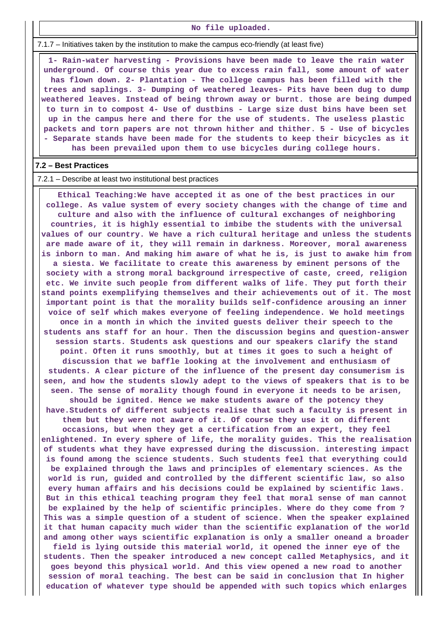**No file uploaded.**

7.1.7 – Initiatives taken by the institution to make the campus eco-friendly (at least five)

 **1- Rain-water harvesting - Provisions have been made to leave the rain water underground. Of course this year due to excess rain fall, some amount of water has flown down. 2- Plantation - The college campus has been filled with the trees and saplings. 3- Dumping of weathered leaves- Pits have been dug to dump weathered leaves. Instead of being thrown away or burnt. those are being dumped to turn in to compost 4- Use of dustbins - Large size dust bins have been set up in the campus here and there for the use of students. The useless plastic packets and torn papers are not thrown hither and thither. 5 - Use of bicycles - Separate stands have been made for the students to keep their bicycles as it has been prevailed upon them to use bicycles during college hours.**

#### **7.2 – Best Practices**

#### 7.2.1 – Describe at least two institutional best practices

 **Ethical Teaching:We have accepted it as one of the best practices in our college. As value system of every society changes with the change of time and culture and also with the influence of cultural exchanges of neighboring countries, it is highly essential to imbibe the students with the universal values of our country. We have a rich cultural heritage and unless the students are made aware of it, they will remain in darkness. Moreover, moral awareness is inborn to man. And making him aware of what he is, is just to awake him from a siesta. We facilitate to create this awareness by eminent persons of the society with a strong moral background irrespective of caste, creed, religion etc. We invite such people from different walks of life. They put forth their stand points exemplifying themselves and their achievements out of it. The most important point is that the morality builds self-confidence arousing an inner voice of self which makes everyone of feeling independence. We hold meetings once in a month in which the invited guests deliver their speech to the students ans staff for an hour. Then the discussion begins and question-answer session starts. Students ask questions and our speakers clarify the stand point. Often it runs smoothly, but at times it goes to such a height of discussion that we baffle looking at the involvement and enthusiasm of students. A clear picture of the influence of the present day consumerism is seen, and how the students slowly adept to the views of speakers that is to be seen. The sense of morality though found in everyone it needs to be arisen, should be ignited. Hence we make students aware of the potency they have.Students of different subjects realise that such a faculty is present in them but they were not aware of it. Of course they use it on different occasions, but when they get a certification from an expert, they feel enlightened. In every sphere of life, the morality guides. This the realisation of students what they have expressed during the discussion. interesting impact is found among the science students. Such students feel that everything could be explained through the laws and principles of elementary sciences. As the world is run, guided and controlled by the different scientific law, so also every human affairs and his decisions could be explained by scientific laws. But in this ethical teaching program they feel that moral sense of man cannot be explained by the help of scientific principles. Where do they come from ? This was a simple question of a student of science. When the speaker explained it that human capacity much wider than the scientific explanation of the world and among other ways scientific explanation is only a smaller oneand a broader field is lying outside this material world, it opened the inner eye of the students. Then the speaker introduced a new concept called Metaphysics, and it goes beyond this physical world. And this view opened a new road to another session of moral teaching. The best can be said in conclusion that In higher education of whatever type should be appended with such topics which enlarges**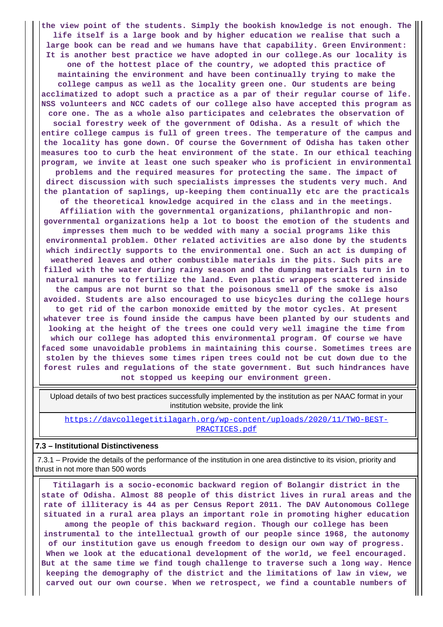**the view point of the students. Simply the bookish knowledge is not enough. The life itself is a large book and by higher education we realise that such a large book can be read and we humans have that capability. Green Environment: It is another best practice we have adopted in our college.As our locality is one of the hottest place of the country, we adopted this practice of maintaining the environment and have been continually trying to make the college campus as well as the locality green one. Our students are being acclimatized to adopt such a practice as a par of their regular course of life. NSS volunteers and NCC cadets of our college also have accepted this program as core one. The as a whole also participates and celebrates the observation of social forestry week of the government of Odisha. As a result of which the entire college campus is full of green trees. The temperature of the campus and the locality has gone down. Of course the Government of Odisha has taken other measures too to curb the heat environment of the state. In our ethical teaching program, we invite at least one such speaker who is proficient in environmental problems and the required measures for protecting the same. The impact of direct discussion with such specialists impresses the students very much. And the plantation of saplings, up-keeping them continually etc are the practicals of the theoretical knowledge acquired in the class and in the meetings. Affiliation with the governmental organizations, philanthropic and nongovernmental organizations help a lot to boost the emotion of the students and impresses them much to be wedded with many a social programs like this environmental problem. Other related activities are also done by the students which indirectly supports to the environmental one. Such an act is dumping of weathered leaves and other combustible materials in the pits. Such pits are filled with the water during rainy season and the dumping materials turn in to natural manures to fertilize the land. Even plastic wrappers scattered inside the campus are not burnt so that the poisonous smell of the smoke is also avoided. Students are also encouraged to use bicycles during the college hours to get rid of the carbon monoxide emitted by the motor cycles. At present whatever tree is found inside the campus have been planted by our students and looking at the height of the trees one could very well imagine the time from which our college has adopted this environmental program. Of course we have faced some unavoidable problems in maintaining this course. Sometimes trees are stolen by the thieves some times ripen trees could not be cut down due to the forest rules and regulations of the state government. But such hindrances have not stopped us keeping our environment green.**

 Upload details of two best practices successfully implemented by the institution as per NAAC format in your institution website, provide the link

[https://davcollegetitilagarh.org/wp-content/uploads/2020/11/TWO-BEST-](https://davcollegetitilagarh.org/wp-content/uploads/2020/11/TWO-BEST-PRACTICES.pdf)[PRACTICES.pdf](https://davcollegetitilagarh.org/wp-content/uploads/2020/11/TWO-BEST-PRACTICES.pdf)

#### **7.3 – Institutional Distinctiveness**

 7.3.1 – Provide the details of the performance of the institution in one area distinctive to its vision, priority and thrust in not more than 500 words

 **Titilagarh is a socio-economic backward region of Bolangir district in the state of Odisha. Almost 88 people of this district lives in rural areas and the rate of illiteracy is 44 as per Census Report 2011. The DAV Autonomous College situated in a rural area plays an important role in promoting higher education among the people of this backward region. Though our college has been instrumental to the intellectual growth of our people since 1968, the autonomy of our institution gave us enough freedom to design our own way of progress. When we look at the educational development of the world, we feel encouraged. But at the same time we find tough challenge to traverse such a long way. Hence keeping the demography of the district and the limitations of law in view, we carved out our own course. When we retrospect, we find a countable numbers of**